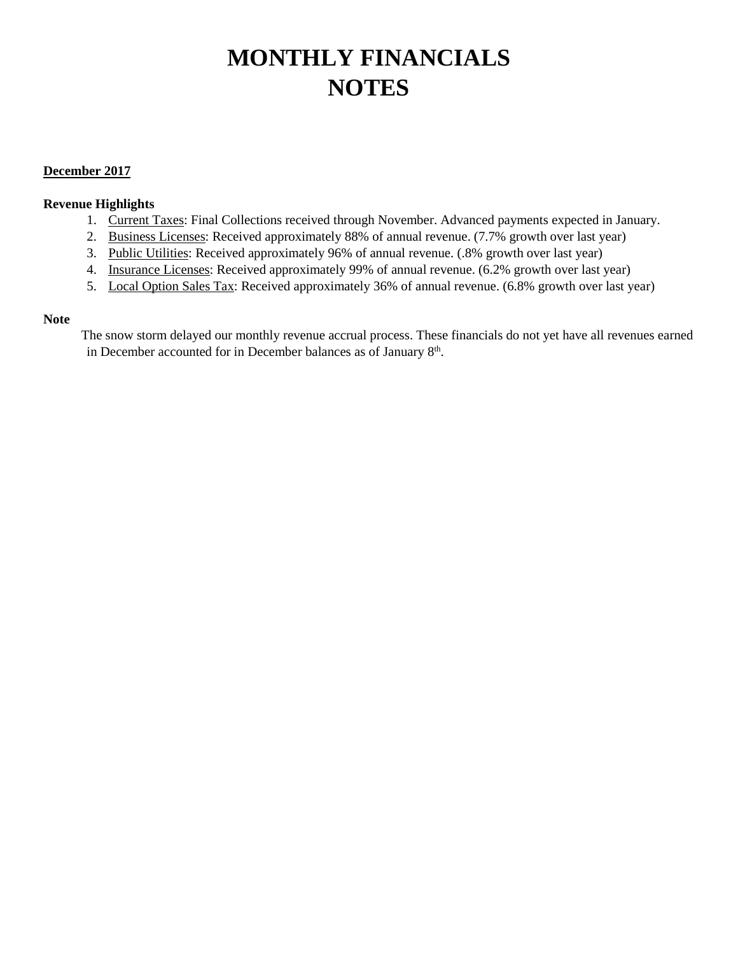# **MONTHLY FINANCIALS NOTES**

## **December 2017**

## **Revenue Highlights**

- 1. Current Taxes: Final Collections received through November. Advanced payments expected in January.
- 2. Business Licenses: Received approximately 88% of annual revenue. (7.7% growth over last year)
- 3. Public Utilities: Received approximately 96% of annual revenue. (.8% growth over last year)
- 4. Insurance Licenses: Received approximately 99% of annual revenue. (6.2% growth over last year)
- 5. Local Option Sales Tax: Received approximately 36% of annual revenue. (6.8% growth over last year)

### **Note**

The snow storm delayed our monthly revenue accrual process. These financials do not yet have all revenues earned in December accounted for in December balances as of January 8<sup>th</sup>.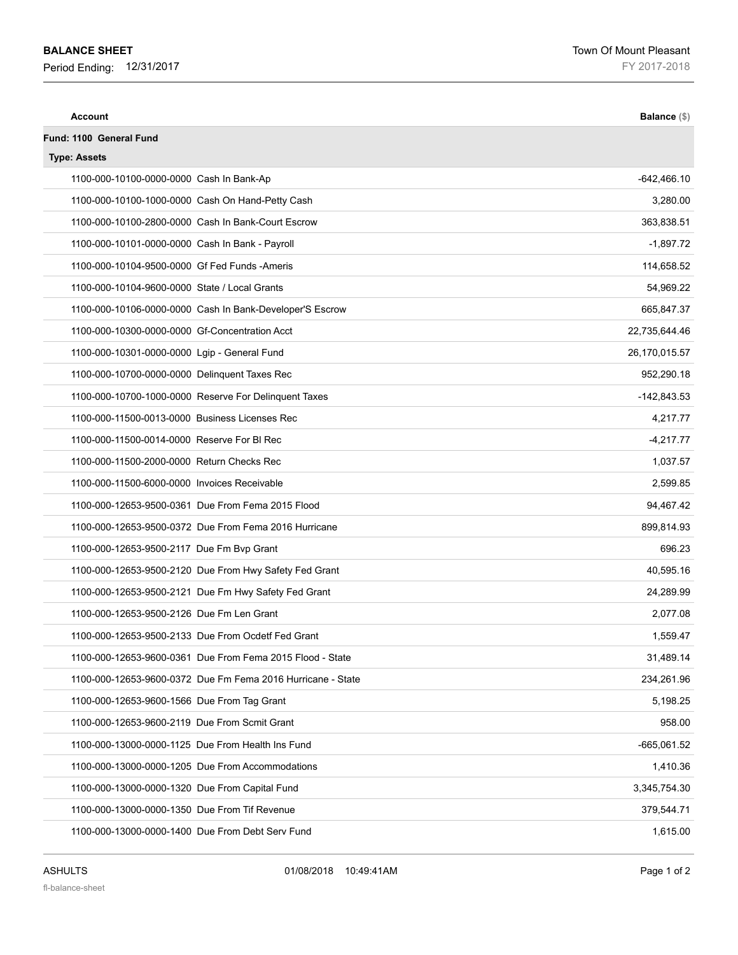### **BALANCE SHEET**

**Period Ending: 12/31/2017 FY 2017-2018** 

| <b>Account</b>                                              | Balance (\$)  |
|-------------------------------------------------------------|---------------|
| Fund: 1100 General Fund                                     |               |
| <b>Type: Assets</b>                                         |               |
| 1100-000-10100-0000-0000 Cash In Bank-Ap                    | $-642,466.10$ |
| 1100-000-10100-1000-0000 Cash On Hand-Petty Cash            | 3,280.00      |
| 1100-000-10100-2800-0000 Cash In Bank-Court Escrow          | 363,838.51    |
| 1100-000-10101-0000-0000 Cash In Bank - Payroll             | $-1,897.72$   |
| 1100-000-10104-9500-0000 Gf Fed Funds -Ameris               | 114,658.52    |
| 1100-000-10104-9600-0000 State / Local Grants               | 54,969.22     |
| 1100-000-10106-0000-0000 Cash In Bank-Developer'S Escrow    | 665,847.37    |
| 1100-000-10300-0000-0000 Gf-Concentration Acct              | 22,735,644.46 |
| 1100-000-10301-0000-0000 Lgip - General Fund                | 26,170,015.57 |
| 1100-000-10700-0000-0000 Delinquent Taxes Rec               | 952,290.18    |
| 1100-000-10700-1000-0000 Reserve For Delinguent Taxes       | $-142,843.53$ |
| 1100-000-11500-0013-0000 Business Licenses Rec              | 4,217.77      |
| 1100-000-11500-0014-0000 Reserve For BI Rec                 | $-4,217.77$   |
| 1100-000-11500-2000-0000 Return Checks Rec                  | 1,037.57      |
| 1100-000-11500-6000-0000 Invoices Receivable                | 2,599.85      |
| 1100-000-12653-9500-0361 Due From Fema 2015 Flood           | 94,467.42     |
| 1100-000-12653-9500-0372 Due From Fema 2016 Hurricane       | 899,814.93    |
| 1100-000-12653-9500-2117 Due Fm Bvp Grant                   | 696.23        |
| 1100-000-12653-9500-2120 Due From Hwy Safety Fed Grant      | 40,595.16     |
| 1100-000-12653-9500-2121 Due Fm Hwy Safety Fed Grant        | 24,289.99     |
| 1100-000-12653-9500-2126 Due Fm Len Grant                   | 2,077.08      |
| 1100-000-12653-9500-2133 Due From Ocdetf Fed Grant          | 1.559.47      |
| 1100-000-12653-9600-0361 Due From Fema 2015 Flood - State   | 31,489.14     |
| 1100-000-12653-9600-0372 Due Fm Fema 2016 Hurricane - State | 234,261.96    |
| 1100-000-12653-9600-1566 Due From Tag Grant                 | 5,198.25      |
| 1100-000-12653-9600-2119 Due From Scmit Grant               | 958.00        |
| 1100-000-13000-0000-1125 Due From Health Ins Fund           | $-665,061.52$ |
| 1100-000-13000-0000-1205 Due From Accommodations            | 1,410.36      |
| 1100-000-13000-0000-1320 Due From Capital Fund              | 3,345,754.30  |
| 1100-000-13000-0000-1350 Due From Tif Revenue               | 379,544.71    |
| 1100-000-13000-0000-1400 Due From Debt Serv Fund            | 1,615.00      |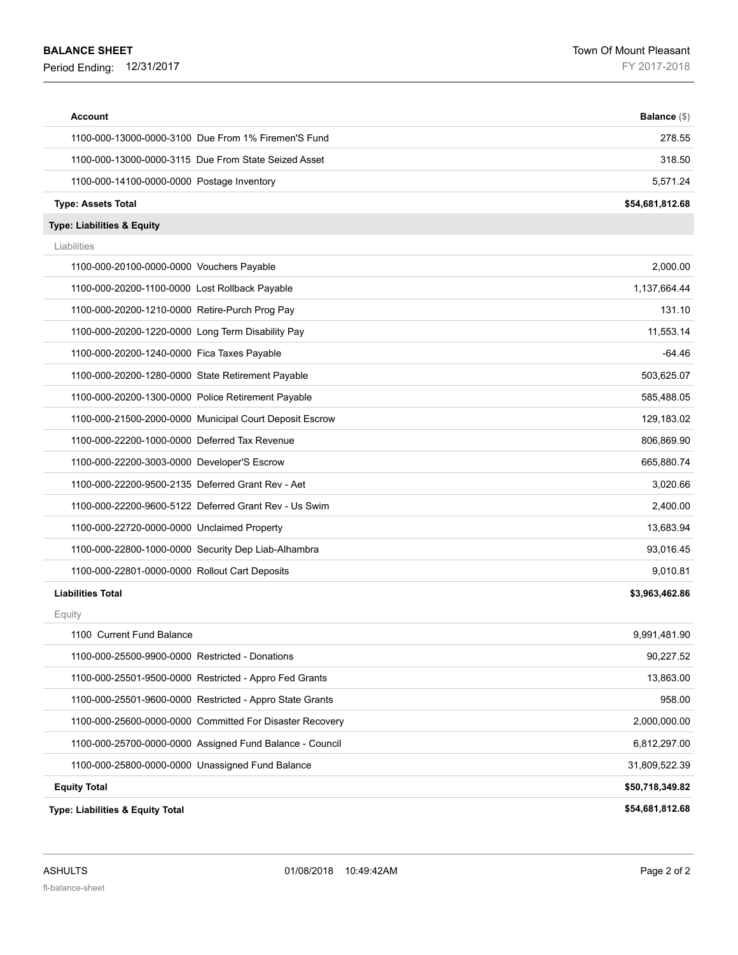### **BALANCE SHEET**

| Account                                                  | Balance (\$)    |
|----------------------------------------------------------|-----------------|
| 1100-000-13000-0000-3100 Due From 1% Firemen'S Fund      | 278.55          |
| 1100-000-13000-0000-3115 Due From State Seized Asset     | 318.50          |
| 1100-000-14100-0000-0000 Postage Inventory               | 5,571.24        |
| <b>Type: Assets Total</b>                                | \$54,681,812.68 |
| Type: Liabilities & Equity                               |                 |
| Liabilities                                              |                 |
| 1100-000-20100-0000-0000 Vouchers Payable                | 2,000.00        |
| 1100-000-20200-1100-0000 Lost Rollback Payable           | 1,137,664.44    |
| 1100-000-20200-1210-0000 Retire-Purch Prog Pay           | 131.10          |
| 1100-000-20200-1220-0000 Long Term Disability Pay        | 11,553.14       |
| 1100-000-20200-1240-0000 Fica Taxes Payable              | $-64.46$        |
| 1100-000-20200-1280-0000 State Retirement Payable        | 503,625.07      |
| 1100-000-20200-1300-0000 Police Retirement Payable       | 585,488.05      |
| 1100-000-21500-2000-0000 Municipal Court Deposit Escrow  | 129,183.02      |
| 1100-000-22200-1000-0000 Deferred Tax Revenue            | 806,869.90      |
| 1100-000-22200-3003-0000 Developer'S Escrow              | 665,880.74      |
| 1100-000-22200-9500-2135 Deferred Grant Rev - Aet        | 3,020.66        |
| 1100-000-22200-9600-5122 Deferred Grant Rev - Us Swim    | 2,400.00        |
| 1100-000-22720-0000-0000 Unclaimed Property              | 13,683.94       |
| 1100-000-22800-1000-0000 Security Dep Liab-Alhambra      | 93,016.45       |
| 1100-000-22801-0000-0000 Rollout Cart Deposits           | 9,010.81        |
| <b>Liabilities Total</b>                                 | \$3,963,462.86  |
| Equity                                                   |                 |
| 1100 Current Fund Balance                                | 9,991,481.90    |
| 1100-000-25500-9900-0000 Restricted - Donations          | 90,227.52       |
| 1100-000-25501-9500-0000 Restricted - Appro Fed Grants   | 13,863.00       |
| 1100-000-25501-9600-0000 Restricted - Appro State Grants | 958.00          |
| 1100-000-25600-0000-0000 Committed For Disaster Recovery | 2,000,000.00    |
| 1100-000-25700-0000-0000 Assigned Fund Balance - Council | 6,812,297.00    |
| 1100-000-25800-0000-0000 Unassigned Fund Balance         | 31,809,522.39   |
| <b>Equity Total</b>                                      | \$50,718,349.82 |
| Type: Liabilities & Equity Total                         | \$54,681,812.68 |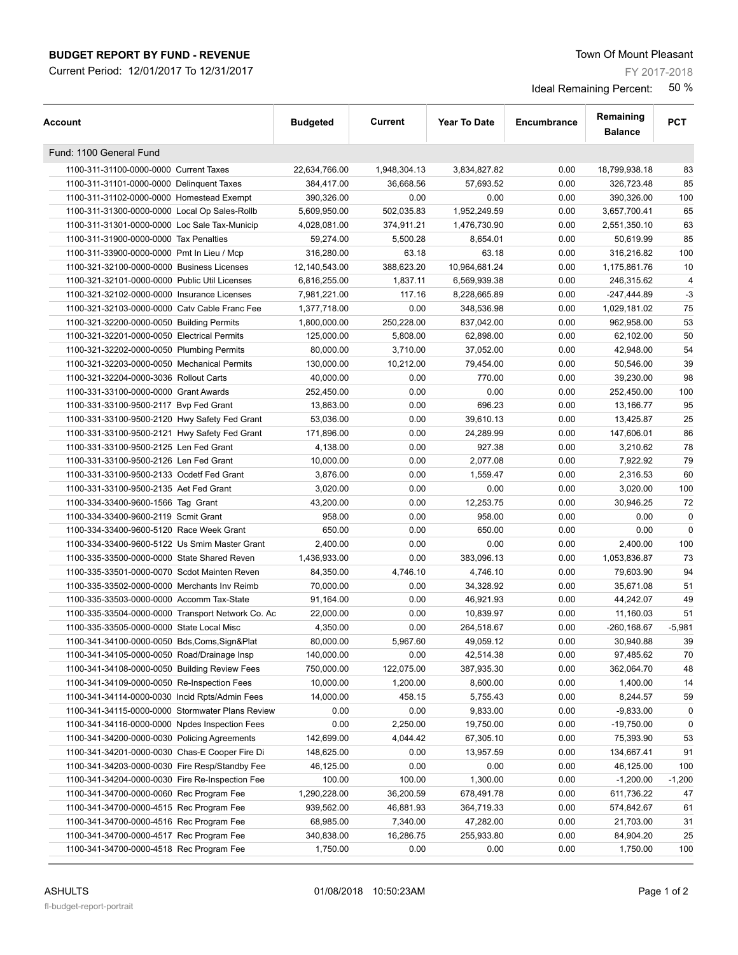### **BUDGET REPORT BY FUND - REVENUE The SUBSET REPORT BY FUND - REVENUE Town Of Mount Pleasant**

Current Period: 12/01/2017 To 12/31/2017

FY 2017-2018

| Account                                           | <b>Budgeted</b> | Current      | <b>Year To Date</b> | Encumbrance | Remaining<br><b>Balance</b> | <b>PCT</b>  |
|---------------------------------------------------|-----------------|--------------|---------------------|-------------|-----------------------------|-------------|
| Fund: 1100 General Fund                           |                 |              |                     |             |                             |             |
| 1100-311-31100-0000-0000 Current Taxes            | 22,634,766.00   | 1,948,304.13 | 3,834,827.82        | 0.00        | 18,799,938.18               | 83          |
| 1100-311-31101-0000-0000 Delinguent Taxes         | 384,417.00      | 36,668.56    | 57,693.52           | 0.00        | 326,723.48                  | 85          |
| 1100-311-31102-0000-0000 Homestead Exempt         | 390,326.00      | 0.00         | 0.00                | 0.00        | 390,326.00                  | 100         |
| 1100-311-31300-0000-0000 Local Op Sales-Rollb     | 5,609,950.00    | 502,035.83   | 1,952,249.59        | 0.00        | 3,657,700.41                | 65          |
| 1100-311-31301-0000-0000 Loc Sale Tax-Municip     | 4,028,081.00    | 374,911.21   | 1,476,730.90        | 0.00        | 2,551,350.10                | 63          |
| 1100-311-31900-0000-0000 Tax Penalties            | 59,274.00       | 5,500.28     | 8,654.01            | 0.00        | 50,619.99                   | 85          |
| 1100-311-33900-0000-0000 Pmt In Lieu / Mcp        | 316,280.00      | 63.18        | 63.18               | 0.00        | 316,216.82                  | 100         |
| 1100-321-32100-0000-0000 Business Licenses        | 12,140,543.00   | 388,623.20   | 10,964,681.24       | 0.00        | 1,175,861.76                | 10          |
| 1100-321-32101-0000-0000 Public Util Licenses     | 6,816,255.00    | 1,837.11     | 6,569,939.38        | 0.00        | 246,315.62                  | 4           |
| 1100-321-32102-0000-0000 Insurance Licenses       | 7,981,221.00    | 117.16       | 8,228,665.89        | 0.00        | -247,444.89                 | $-3$        |
| 1100-321-32103-0000-0000 Catv Cable Franc Fee     | 1,377,718.00    | 0.00         | 348,536.98          | 0.00        | 1,029,181.02                | 75          |
| 1100-321-32200-0000-0050 Building Permits         | 1,800,000.00    | 250,228.00   | 837,042.00          | 0.00        | 962,958.00                  | 53          |
| 1100-321-32201-0000-0050 Electrical Permits       | 125,000.00      | 5,808.00     | 62,898.00           | 0.00        | 62,102.00                   | 50          |
| 1100-321-32202-0000-0050 Plumbing Permits         | 80,000.00       | 3,710.00     | 37,052.00           | 0.00        | 42,948.00                   | 54          |
| 1100-321-32203-0000-0050 Mechanical Permits       | 130,000.00      | 10,212.00    | 79,454.00           | 0.00        | 50,546.00                   | 39          |
| 1100-321-32204-0000-3036 Rollout Carts            | 40,000.00       | 0.00         | 770.00              | 0.00        | 39,230.00                   | 98          |
| 1100-331-33100-0000-0000 Grant Awards             |                 | 0.00         | 0.00                | 0.00        |                             | 100         |
|                                                   | 252,450.00      |              |                     |             | 252,450.00                  |             |
| 1100-331-33100-9500-2117 Bvp Fed Grant            | 13,863.00       | 0.00         | 696.23              | 0.00        | 13,166.77                   | 95          |
| 1100-331-33100-9500-2120 Hwy Safety Fed Grant     | 53,036.00       | 0.00         | 39,610.13           | 0.00        | 13,425.87                   | 25          |
| 1100-331-33100-9500-2121 Hwy Safety Fed Grant     | 171,896.00      | 0.00         | 24,289.99           | 0.00        | 147,606.01                  | 86          |
| 1100-331-33100-9500-2125 Len Fed Grant            | 4,138.00        | 0.00         | 927.38              | 0.00        | 3,210.62                    | 78          |
| 1100-331-33100-9500-2126 Len Fed Grant            | 10,000.00       | 0.00         | 2,077.08            | 0.00        | 7,922.92                    | 79          |
| 1100-331-33100-9500-2133 Ocdetf Fed Grant         | 3,876.00        | 0.00         | 1,559.47            | 0.00        | 2,316.53                    | 60          |
| 1100-331-33100-9500-2135 Aet Fed Grant            | 3,020.00        | 0.00         | 0.00                | 0.00        | 3,020.00                    | 100         |
| 1100-334-33400-9600-1566 Tag Grant                | 43,200.00       | 0.00         | 12,253.75           | 0.00        | 30,946.25                   | 72          |
| 1100-334-33400-9600-2119 Scmit Grant              | 958.00          | 0.00         | 958.00              | 0.00        | 0.00                        | 0           |
| 1100-334-33400-9600-5120 Race Week Grant          | 650.00          | 0.00         | 650.00              | 0.00        | 0.00                        | $\mathbf 0$ |
| 1100-334-33400-9600-5122 Us Smim Master Grant     | 2,400.00        | 0.00         | 0.00                | 0.00        | 2,400.00                    | 100         |
| 1100-335-33500-0000-0000 State Shared Reven       | 1,436,933.00    | 0.00         | 383,096.13          | 0.00        | 1,053,836.87                | 73          |
| 1100-335-33501-0000-0070 Scdot Mainten Reven      | 84.350.00       | 4,746.10     | 4,746.10            | 0.00        | 79,603.90                   | 94          |
| 1100-335-33502-0000-0000 Merchants Inv Reimb      | 70,000.00       | 0.00         | 34,328.92           | 0.00        | 35,671.08                   | 51          |
| 1100-335-33503-0000-0000 Accomm Tax-State         | 91,164.00       | 0.00         | 46,921.93           | 0.00        | 44,242.07                   | 49          |
| 1100-335-33504-0000-0000 Transport Network Co. Ac | 22,000.00       | 0.00         | 10,839.97           | 0.00        | 11,160.03                   | 51          |
| 1100-335-33505-0000-0000 State Local Misc         | 4,350.00        | 0.00         | 264,518.67          | 0.00        | $-260, 168.67$              | $-5,981$    |
| 1100-341-34100-0000-0050 Bds, Coms, Sign& Plat    | 80,000.00       | 5,967.60     | 49,059.12           | 0.00        | 30,940.88                   | 39          |
| 1100-341-34105-0000-0050 Road/Drainage Insp       | 140,000.00      | 0.00         | 42,514.38           | 0.00        | 97,485.62                   | 70          |
| 1100-341-34108-0000-0050 Building Review Fees     | 750,000.00      | 122,075.00   | 387,935.30          | 0.00        | 362,064.70                  | 48          |
| 1100-341-34109-0000-0050 Re-Inspection Fees       | 10,000.00       | 1,200.00     | 8,600.00            | 0.00        | 1,400.00                    | 14          |
| 1100-341-34114-0000-0030 Incid Rpts/Admin Fees    | 14,000.00       | 458.15       | 5,755.43            | 0.00        | 8,244.57                    | 59          |
| 1100-341-34115-0000-0000 Stormwater Plans Review  | 0.00            | 0.00         | 9,833.00            | 0.00        | $-9,833.00$                 | 0           |
| 1100-341-34116-0000-0000 Npdes Inspection Fees    | 0.00            | 2,250.00     | 19,750.00           | 0.00        | -19,750.00                  | 0           |
| 1100-341-34200-0000-0030 Policing Agreements      | 142,699.00      | 4,044.42     | 67,305.10           | 0.00        | 75,393.90                   | 53          |
| 1100-341-34201-0000-0030 Chas-E Cooper Fire Di    | 148,625.00      | 0.00         | 13,957.59           | 0.00        | 134,667.41                  | 91          |
| 1100-341-34203-0000-0030 Fire Resp/Standby Fee    | 46,125.00       | 0.00         | 0.00                | 0.00        | 46,125.00                   | 100         |
| 1100-341-34204-0000-0030 Fire Re-Inspection Fee   | 100.00          | 100.00       | 1,300.00            | 0.00        | $-1,200.00$                 | $-1,200$    |
| 1100-341-34700-0000-0060 Rec Program Fee          | 1,290,228.00    | 36,200.59    | 678,491.78          | 0.00        | 611,736.22                  | 47          |
| 1100-341-34700-0000-4515 Rec Program Fee          | 939,562.00      | 46,881.93    | 364,719.33          | 0.00        | 574,842.67                  | 61          |
| 1100-341-34700-0000-4516 Rec Program Fee          | 68,985.00       | 7,340.00     | 47,282.00           | 0.00        | 21,703.00                   | 31          |
| 1100-341-34700-0000-4517 Rec Program Fee          | 340,838.00      | 16,286.75    | 255,933.80          | 0.00        | 84,904.20                   | 25          |
| 1100-341-34700-0000-4518 Rec Program Fee          | 1,750.00        | 0.00         | 0.00                | 0.00        | 1,750.00                    | 100         |
|                                                   |                 |              |                     |             |                             |             |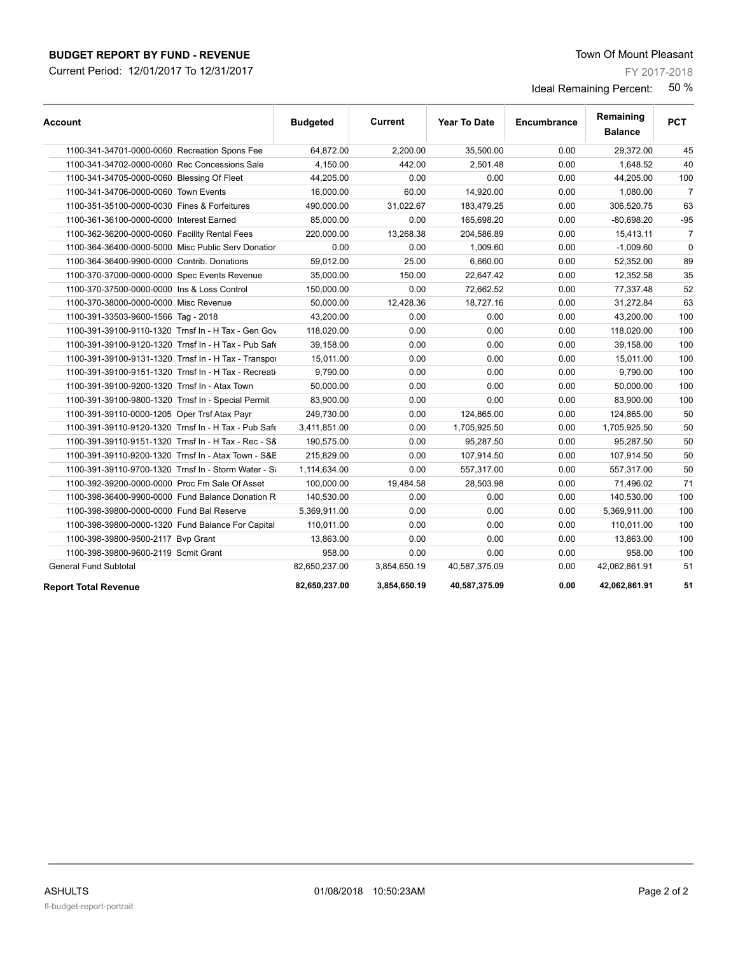## **BUDGET REPORT BY FUND - REVENUE The SUBSET REPORT BY FUND - REVENUE Town Of Mount Pleasant**

Current Period: 12/01/2017 To 12/31/2017

FY 2017-2018

| Account                                              | <b>Budgeted</b> | Current      | <b>Year To Date</b> | Encumbrance | Remaining<br><b>Balance</b> | <b>PCT</b>     |
|------------------------------------------------------|-----------------|--------------|---------------------|-------------|-----------------------------|----------------|
| 1100-341-34701-0000-0060 Recreation Spons Fee        | 64,872.00       | 2,200.00     | 35,500.00           | 0.00        | 29,372.00                   | 45             |
| 1100-341-34702-0000-0060 Rec Concessions Sale        | 4,150.00        | 442.00       | 2.501.48            | 0.00        | 1,648.52                    | 40             |
| 1100-341-34705-0000-0060 Blessing Of Fleet           | 44,205.00       | 0.00         | 0.00                | 0.00        | 44,205.00                   | 100            |
| 1100-341-34706-0000-0060 Town Events                 | 16,000.00       | 60.00        | 14,920.00           | 0.00        | 1,080.00                    | $\overline{7}$ |
| 1100-351-35100-0000-0030 Fines & Forfeitures         | 490,000.00      | 31,022.67    | 183,479.25          | 0.00        | 306,520.75                  | 63             |
| 1100-361-36100-0000-0000 Interest Earned             | 85,000.00       | 0.00         | 165,698.20          | 0.00        | $-80,698.20$                | $-95$          |
| 1100-362-36200-0000-0060 Facility Rental Fees        | 220,000.00      | 13,268.38    | 204,586.89          | 0.00        | 15,413.11                   | $\overline{7}$ |
| 1100-364-36400-0000-5000 Misc Public Serv Donatior   | 0.00            | 0.00         | 1,009.60            | 0.00        | $-1,009.60$                 | $\mathbf 0$    |
| 1100-364-36400-9900-0000 Contrib. Donations          | 59,012.00       | 25.00        | 6,660.00            | 0.00        | 52,352.00                   | 89             |
| 1100-370-37000-0000-0000 Spec Events Revenue         | 35,000.00       | 150.00       | 22,647.42           | 0.00        | 12,352.58                   | 35             |
| 1100-370-37500-0000-0000 Ins & Loss Control          | 150,000.00      | 0.00         | 72,662.52           | 0.00        | 77,337.48                   | 52             |
| 1100-370-38000-0000-0000 Misc Revenue                | 50,000.00       | 12,428.36    | 18,727.16           | 0.00        | 31,272.84                   | 63             |
| 1100-391-33503-9600-1566 Tag - 2018                  | 43,200.00       | 0.00         | 0.00                | 0.00        | 43,200.00                   | 100            |
| 1100-391-39100-9110-1320 Trnsf In - H Tax - Gen Gov  | 118,020.00      | 0.00         | 0.00                | 0.00        | 118,020.00                  | 100            |
| 1100-391-39100-9120-1320 Trnsf In - H Tax - Pub Saft | 39,158.00       | 0.00         | 0.00                | 0.00        | 39,158.00                   | 100            |
| 1100-391-39100-9131-1320 Trnsf In - H Tax - Transpor | 15,011.00       | 0.00         | 0.00                | 0.00        | 15,011.00                   | 100            |
| 1100-391-39100-9151-1320 Trnsf In - H Tax - Recreati | 9,790.00        | 0.00         | 0.00                | 0.00        | 9,790.00                    | 100            |
| 1100-391-39100-9200-1320 Trnsf In - Atax Town        | 50,000.00       | 0.00         | 0.00                | 0.00        | 50,000.00                   | 100            |
| 1100-391-39100-9800-1320 Trnsf In - Special Permit   | 83,900.00       | 0.00         | 0.00                | 0.00        | 83,900.00                   | 100            |
| 1100-391-39110-0000-1205 Oper Trsf Atax Payr         | 249.730.00      | 0.00         | 124,865.00          | 0.00        | 124,865.00                  | 50             |
| 1100-391-39110-9120-1320 Trnsf In - H Tax - Pub Safe | 3,411,851.00    | 0.00         | 1,705,925.50        | 0.00        | 1,705,925.50                | 50             |
| 1100-391-39110-9151-1320 Trnsf In - H Tax - Rec - S8 | 190,575.00      | 0.00         | 95,287.50           | 0.00        | 95,287.50                   | 50             |
| 1100-391-39110-9200-1320 Trnsf In - Atax Town - S&E  | 215,829.00      | 0.00         | 107,914.50          | 0.00        | 107,914.50                  | 50             |
| 1100-391-39110-9700-1320 Trnsf In - Storm Water - Si | 1,114,634.00    | 0.00         | 557,317.00          | 0.00        | 557,317.00                  | 50             |
| 1100-392-39200-0000-0000 Proc Fm Sale Of Asset       | 100,000.00      | 19,484.58    | 28,503.98           | 0.00        | 71,496.02                   | 71             |
| 1100-398-36400-9900-0000 Fund Balance Donation R     | 140,530.00      | 0.00         | 0.00                | 0.00        | 140,530.00                  | 100            |
| 1100-398-39800-0000-0000 Fund Bal Reserve            | 5,369,911.00    | 0.00         | 0.00                | 0.00        | 5,369,911.00                | 100            |
| 1100-398-39800-0000-1320 Fund Balance For Capital    | 110,011.00      | 0.00         | 0.00                | 0.00        | 110,011.00                  | 100            |
| 1100-398-39800-9500-2117 Bvp Grant                   | 13,863.00       | 0.00         | 0.00                | 0.00        | 13,863.00                   | 100            |
| 1100-398-39800-9600-2119 Scmit Grant                 | 958.00          | 0.00         | 0.00                | 0.00        | 958.00                      | 100            |
| <b>General Fund Subtotal</b>                         | 82,650,237.00   | 3,854,650.19 | 40,587,375.09       | 0.00        | 42,062,861.91               | 51             |
| <b>Report Total Revenue</b>                          | 82,650,237.00   | 3,854,650.19 | 40,587,375.09       | 0.00        | 42,062,861.91               | 51             |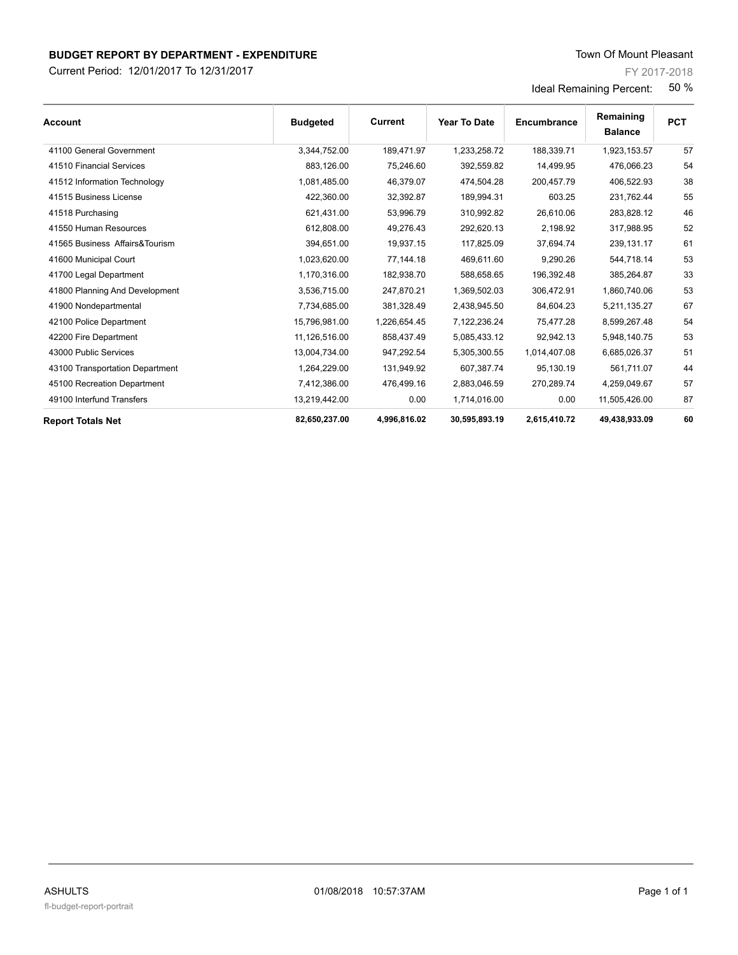Current Period: 12/01/2017 To 12/31/2017

FY 2017-2018

| <b>Account</b>                  | <b>Budgeted</b> | Current      | <b>Year To Date</b> | Encumbrance  | Remaining<br><b>Balance</b> | <b>PCT</b> |
|---------------------------------|-----------------|--------------|---------------------|--------------|-----------------------------|------------|
| 41100 General Government        | 3,344,752.00    | 189,471.97   | 1,233,258.72        | 188,339.71   | 1,923,153.57                | 57         |
| 41510 Financial Services        | 883,126.00      | 75,246.60    | 392,559.82          | 14,499.95    | 476,066.23                  | 54         |
| 41512 Information Technology    | 1,081,485.00    | 46,379.07    | 474,504.28          | 200,457.79   | 406,522.93                  | 38         |
| 41515 Business License          | 422,360.00      | 32,392.87    | 189,994.31          | 603.25       | 231.762.44                  | 55         |
| 41518 Purchasing                | 621,431.00      | 53,996.79    | 310,992.82          | 26,610.06    | 283,828.12                  | 46         |
| 41550 Human Resources           | 612,808.00      | 49,276.43    | 292,620.13          | 2,198.92     | 317,988.95                  | 52         |
| 41565 Business Affairs& Tourism | 394,651.00      | 19,937.15    | 117,825.09          | 37,694.74    | 239,131.17                  | 61         |
| 41600 Municipal Court           | 1,023,620.00    | 77,144.18    | 469,611.60          | 9,290.26     | 544,718.14                  | 53         |
| 41700 Legal Department          | 1,170,316.00    | 182,938.70   | 588,658.65          | 196,392.48   | 385,264.87                  | 33         |
| 41800 Planning And Development  | 3,536,715.00    | 247,870.21   | 1,369,502.03        | 306,472.91   | 1,860,740.06                | 53         |
| 41900 Nondepartmental           | 7,734,685.00    | 381,328.49   | 2,438,945.50        | 84,604.23    | 5,211,135.27                | 67         |
| 42100 Police Department         | 15,796,981.00   | 1,226,654.45 | 7,122,236.24        | 75,477.28    | 8,599,267.48                | 54         |
| 42200 Fire Department           | 11,126,516.00   | 858,437.49   | 5,085,433.12        | 92,942.13    | 5,948,140.75                | 53         |
| 43000 Public Services           | 13,004,734.00   | 947,292.54   | 5,305,300.55        | 1,014,407.08 | 6,685,026.37                | 51         |
| 43100 Transportation Department | 1,264,229.00    | 131,949.92   | 607,387.74          | 95,130.19    | 561,711.07                  | 44         |
| 45100 Recreation Department     | 7,412,386.00    | 476,499.16   | 2,883,046.59        | 270,289.74   | 4,259,049.67                | 57         |
| 49100 Interfund Transfers       | 13,219,442.00   | 0.00         | 1,714,016.00        | 0.00         | 11,505,426.00               | 87         |
| <b>Report Totals Net</b>        | 82,650,237.00   | 4,996,816.02 | 30,595,893.19       | 2,615,410.72 | 49,438,933.09               | 60         |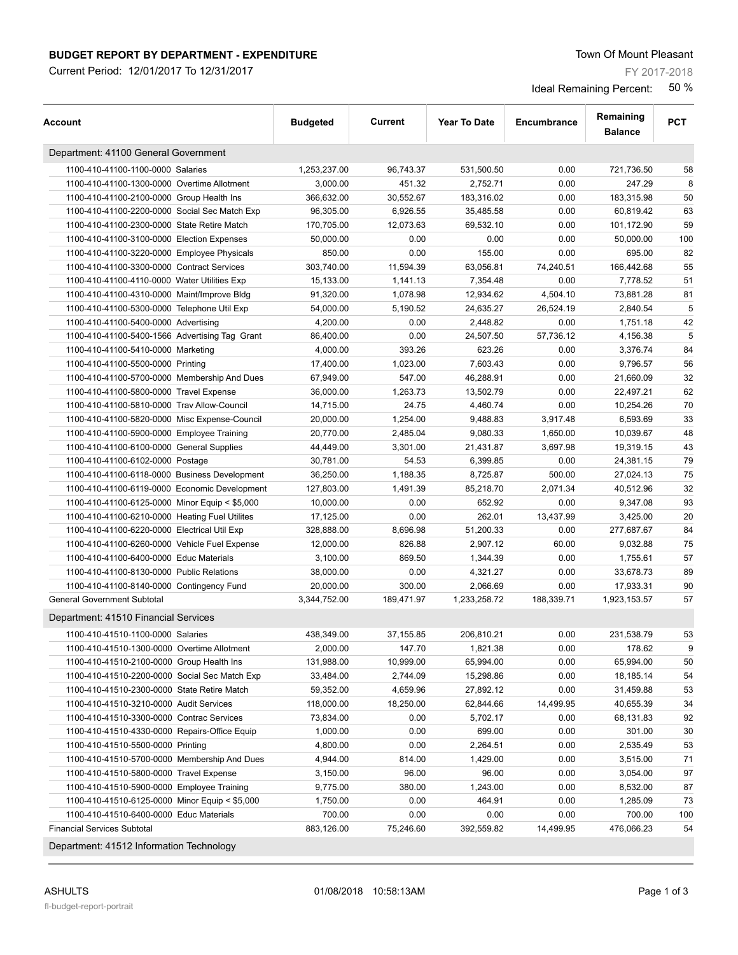### **BUDGET REPORT BY DEPARTMENT - EXPENDITURE THE SECOND SET ASSESS** Town Of Mount Pleasant

Current Period: 12/01/2017 To 12/31/2017

FY 2017-2018

Ideal Remaining Percent: 50 %

| Account                                        | <b>Budgeted</b>      | Current    | <b>Year To Date</b> | Encumbrance | Remaining<br><b>Balance</b> | <b>PCT</b> |
|------------------------------------------------|----------------------|------------|---------------------|-------------|-----------------------------|------------|
| Department: 41100 General Government           |                      |            |                     |             |                             |            |
| 1100-410-41100-1100-0000 Salaries              | 1,253,237.00         | 96,743.37  | 531,500.50          | 0.00        | 721,736.50                  | 58         |
| 1100-410-41100-1300-0000 Overtime Allotment    | 3,000.00             | 451.32     | 2,752.71            | 0.00        | 247.29                      | 8          |
| 1100-410-41100-2100-0000 Group Health Ins      | 366,632.00           | 30,552.67  | 183,316.02          | 0.00        | 183,315.98                  | 50         |
| 1100-410-41100-2200-0000 Social Sec Match Exp  | 96,305.00            | 6,926.55   | 35,485.58           | 0.00        | 60,819.42                   | 63         |
| 1100-410-41100-2300-0000 State Retire Match    | 170,705.00           | 12,073.63  | 69,532.10           | 0.00        | 101,172.90                  | 59         |
| 1100-410-41100-3100-0000 Election Expenses     | 50,000.00            | 0.00       | 0.00                | 0.00        | 50,000.00                   | 100        |
| 1100-410-41100-3220-0000 Employee Physicals    | 850.00               | 0.00       | 155.00              | 0.00        | 695.00                      | 82         |
| 1100-410-41100-3300-0000 Contract Services     | 303,740.00           | 11,594.39  | 63,056.81           | 74,240.51   | 166,442.68                  | 55         |
| 1100-410-41100-4110-0000 Water Utilities Exp   | 15,133.00            | 1,141.13   | 7,354.48            | 0.00        | 7,778.52                    | 51         |
| 1100-410-41100-4310-0000 Maint/Improve Bldg    | 91,320.00            | 1,078.98   | 12,934.62           | 4,504.10    | 73,881.28                   | 81         |
| 1100-410-41100-5300-0000 Telephone Util Exp    | 54,000.00            | 5,190.52   | 24,635.27           | 26,524.19   | 2,840.54                    | 5          |
| 1100-410-41100-5400-0000 Advertising           | 4,200.00             | 0.00       | 2,448.82            | 0.00        | 1,751.18                    | 42         |
| 1100-410-41100-5400-1566 Advertising Tag Grant | 86,400.00            | 0.00       | 24,507.50           | 57,736.12   | 4,156.38                    | 5          |
| 1100-410-41100-5410-0000 Marketing             | 4,000.00             | 393.26     | 623.26              | 0.00        | 3,376.74                    | 84         |
| 1100-410-41100-5500-0000 Printing              | 17,400.00            | 1,023.00   | 7,603.43            | 0.00        | 9,796.57                    | 56         |
| 1100-410-41100-5700-0000 Membership And Dues   | 67,949.00            | 547.00     | 46,288.91           | 0.00        | 21,660.09                   | 32         |
| 1100-410-41100-5800-0000 Travel Expense        | 36,000.00            | 1,263.73   | 13,502.79           | 0.00        | 22,497.21                   | 62         |
| 1100-410-41100-5810-0000 Trav Allow-Council    | 14,715.00            | 24.75      | 4,460.74            | 0.00        | 10,254.26                   | 70         |
| 1100-410-41100-5820-0000 Misc Expense-Council  | 20,000.00            | 1,254.00   | 9,488.83            | 3,917.48    | 6,593.69                    | 33         |
| 1100-410-41100-5900-0000 Employee Training     | 20,770.00            | 2,485.04   | 9,080.33            | 1,650.00    | 10,039.67                   | 48         |
| 1100-410-41100-6100-0000 General Supplies      | 44,449.00            | 3,301.00   | 21,431.87           | 3.697.98    | 19,319.15                   | 43         |
| 1100-410-41100-6102-0000 Postage               | 30,781.00            | 54.53      | 6,399.85            | 0.00        | 24,381.15                   | 79         |
| 1100-410-41100-6118-0000 Business Development  | 36,250.00            | 1,188.35   | 8,725.87            | 500.00      | 27,024.13                   | 75         |
| 1100-410-41100-6119-0000 Economic Development  | 127,803.00           | 1,491.39   | 85,218.70           | 2,071.34    | 40,512.96                   | 32         |
| 1100-410-41100-6125-0000 Minor Equip < \$5,000 | 10,000.00            | 0.00       | 652.92              | 0.00        | 9,347.08                    | 93         |
| 1100-410-41100-6210-0000 Heating Fuel Utilites | 17,125.00            | 0.00       | 262.01              | 13,437.99   | 3,425.00                    | 20         |
| 1100-410-41100-6220-0000 Electrical Util Exp   | 328,888.00           | 8,696.98   | 51,200.33           | 0.00        | 277,687.67                  | 84         |
| 1100-410-41100-6260-0000 Vehicle Fuel Expense  | 12,000.00            | 826.88     | 2,907.12            | 60.00       | 9,032.88                    | 75         |
| 1100-410-41100-6400-0000 Educ Materials        | 3,100.00             | 869.50     | 1,344.39            | 0.00        | 1,755.61                    | 57         |
| 1100-410-41100-8130-0000 Public Relations      | 38,000.00            | 0.00       | 4,321.27            | 0.00        | 33,678.73                   | 89         |
| 1100-410-41100-8140-0000 Contingency Fund      | 20,000.00            | 300.00     | 2,066.69            | 0.00        | 17,933.31                   | 90         |
| <b>General Government Subtotal</b>             | 3,344,752.00         | 189,471.97 | 1,233,258.72        | 188,339.71  | 1,923,153.57                | 57         |
| Department: 41510 Financial Services           |                      |            |                     |             |                             |            |
| 1100-410-41510-1100-0000 Salaries              | 438.349.00           | 37,155.85  | 206,810.21          | 0.00        | 231,538.79                  | 53         |
| 1100-410-41510-1300-0000 Overtime Allotment    | 2,000.00             | 147.70     | 1,821.38            | 0.00        | 178.62                      | 9          |
| 1100-410-41510-2100-0000 Group Health Ins      | 131,988.00           | 10,999.00  | 65,994.00           | 0.00        | 65,994.00                   | 50         |
| 1100-410-41510-2200-0000 Social Sec Match Exp  | 33,484.00            | 2,744.09   | 15,298.86           | 0.00        | 18,185.14                   | 54         |
| 1100-410-41510-2300-0000 State Retire Match    | 59,352.00            | 4,659.96   | 27,892.12           | 0.00        | 31,459.88                   | 53         |
| 1100-410-41510-3210-0000 Audit Services        | 118,000.00           | 18,250.00  | 62,844.66           | 14,499.95   | 40,655.39                   | 34         |
| 1100-410-41510-3300-0000 Contrac Services      | 73,834.00            | 0.00       | 5,702.17            | 0.00        | 68,131.83                   | 92         |
| 1100-410-41510-4330-0000 Repairs-Office Equip  | 1,000.00             | 0.00       | 699.00              | 0.00        | 301.00                      | 30         |
| 1100-410-41510-5500-0000 Printing              | 4,800.00             | 0.00       | 2,264.51            | 0.00        | 2,535.49                    | 53         |
| 1100-410-41510-5700-0000 Membership And Dues   | 4,944.00             | 814.00     | 1,429.00            | 0.00        | 3,515.00                    | 71         |
| 1100-410-41510-5800-0000 Travel Expense        |                      | 96.00      | 96.00               | 0.00        | 3,054.00                    | 97         |
| 1100-410-41510-5900-0000 Employee Training     | 3,150.00<br>9,775.00 | 380.00     | 1,243.00            | 0.00        | 8,532.00                    | 87         |
|                                                |                      |            |                     | 0.00        |                             |            |
| 1100-410-41510-6125-0000 Minor Equip < \$5,000 | 1,750.00             | 0.00       | 464.91              |             | 1,285.09                    | 73         |
| 1100-410-41510-6400-0000 Educ Materials        | 700.00               | 0.00       | 0.00                | 0.00        | 700.00                      | 100        |
| <b>Financial Services Subtotal</b>             | 883,126.00           | 75,246.60  | 392,559.82          | 14,499.95   | 476,066.23                  | 54         |

Department: 41512 Information Technology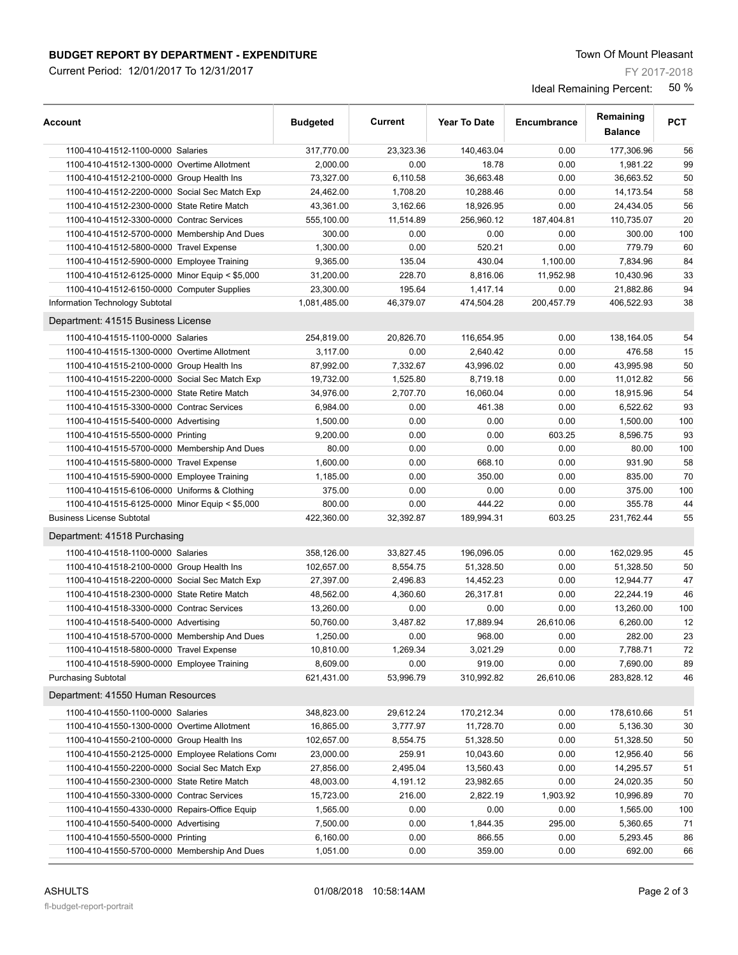Current Period: 12/01/2017 To 12/31/2017

FY 2017-2018

| Account                                          | <b>Budgeted</b> | Current   | <b>Year To Date</b> | Encumbrance | Remaining<br><b>Balance</b> | <b>PCT</b> |
|--------------------------------------------------|-----------------|-----------|---------------------|-------------|-----------------------------|------------|
| 1100-410-41512-1100-0000 Salaries                | 317,770.00      | 23,323.36 | 140,463.04          | 0.00        | 177,306.96                  | 56         |
| 1100-410-41512-1300-0000 Overtime Allotment      | 2,000.00        | 0.00      | 18.78               | 0.00        | 1,981.22                    | 99         |
| 1100-410-41512-2100-0000 Group Health Ins        | 73,327.00       | 6,110.58  | 36,663.48           | 0.00        | 36,663.52                   | 50         |
| 1100-410-41512-2200-0000 Social Sec Match Exp    | 24,462.00       | 1,708.20  | 10,288.46           | 0.00        | 14,173.54                   | 58         |
| 1100-410-41512-2300-0000 State Retire Match      | 43,361.00       | 3,162.66  | 18,926.95           | 0.00        | 24,434.05                   | 56         |
| 1100-410-41512-3300-0000 Contrac Services        | 555,100.00      | 11,514.89 | 256,960.12          | 187,404.81  | 110,735.07                  | 20         |
| 1100-410-41512-5700-0000 Membership And Dues     | 300.00          | 0.00      | 0.00                | 0.00        | 300.00                      | 100        |
| 1100-410-41512-5800-0000 Travel Expense          | 1,300.00        | 0.00      | 520.21              | 0.00        | 779.79                      | 60         |
| 1100-410-41512-5900-0000 Employee Training       | 9,365.00        | 135.04    | 430.04              | 1,100.00    | 7,834.96                    | 84         |
| 1100-410-41512-6125-0000 Minor Equip < \$5,000   | 31,200.00       | 228.70    | 8,816.06            | 11,952.98   | 10,430.96                   | 33         |
| 1100-410-41512-6150-0000 Computer Supplies       | 23,300.00       | 195.64    | 1,417.14            | 0.00        | 21,882.86                   | 94         |
| Information Technology Subtotal                  | 1,081,485.00    | 46,379.07 | 474,504.28          | 200,457.79  | 406,522.93                  | 38         |
| Department: 41515 Business License               |                 |           |                     |             |                             |            |
| 1100-410-41515-1100-0000 Salaries                | 254,819.00      | 20,826.70 | 116,654.95          | 0.00        | 138,164.05                  | 54         |
| 1100-410-41515-1300-0000 Overtime Allotment      | 3,117.00        | 0.00      | 2,640.42            | 0.00        | 476.58                      | 15         |
| 1100-410-41515-2100-0000 Group Health Ins        | 87,992.00       | 7,332.67  | 43,996.02           | 0.00        | 43,995.98                   | 50         |
| 1100-410-41515-2200-0000 Social Sec Match Exp    | 19,732.00       | 1,525.80  | 8,719.18            | 0.00        | 11,012.82                   | 56         |
| 1100-410-41515-2300-0000 State Retire Match      | 34,976.00       | 2,707.70  | 16,060.04           | 0.00        | 18,915.96                   | 54         |
| 1100-410-41515-3300-0000 Contrac Services        | 6,984.00        | 0.00      | 461.38              | 0.00        | 6,522.62                    | 93         |
| 1100-410-41515-5400-0000 Advertising             | 1,500.00        | 0.00      | 0.00                | 0.00        | 1,500.00                    | 100        |
| 1100-410-41515-5500-0000 Printing                | 9,200.00        | 0.00      | 0.00                | 603.25      | 8,596.75                    | 93         |
| 1100-410-41515-5700-0000 Membership And Dues     | 80.00           | 0.00      | 0.00                | 0.00        | 80.00                       | 100        |
| 1100-410-41515-5800-0000 Travel Expense          | 1,600.00        | 0.00      | 668.10              | 0.00        | 931.90                      | 58         |
| 1100-410-41515-5900-0000 Employee Training       | 1,185.00        | 0.00      | 350.00              | 0.00        | 835.00                      | 70         |
| 1100-410-41515-6106-0000 Uniforms & Clothing     | 375.00          | 0.00      | 0.00                | 0.00        | 375.00                      | 100        |
| 1100-410-41515-6125-0000 Minor Equip < \$5,000   | 800.00          | 0.00      | 444.22              | 0.00        | 355.78                      | 44         |
| <b>Business License Subtotal</b>                 | 422,360.00      | 32,392.87 | 189,994.31          | 603.25      | 231,762.44                  | 55         |
| Department: 41518 Purchasing                     |                 |           |                     |             |                             |            |
| 1100-410-41518-1100-0000 Salaries                | 358,126.00      | 33,827.45 | 196,096.05          | 0.00        | 162,029.95                  | 45         |
| 1100-410-41518-2100-0000 Group Health Ins        | 102,657.00      | 8,554.75  | 51,328.50           | 0.00        | 51,328.50                   | 50         |
| 1100-410-41518-2200-0000 Social Sec Match Exp    | 27,397.00       | 2,496.83  | 14,452.23           | 0.00        | 12,944.77                   | 47         |
| 1100-410-41518-2300-0000 State Retire Match      | 48,562.00       | 4,360.60  | 26,317.81           | 0.00        | 22,244.19                   | 46         |
| 1100-410-41518-3300-0000 Contrac Services        | 13,260.00       | 0.00      | 0.00                | 0.00        | 13,260.00                   | 100        |
| 1100-410-41518-5400-0000 Advertising             | 50,760.00       | 3,487.82  | 17,889.94           | 26.610.06   | 6,260.00                    | 12         |
| 1100-410-41518-5700-0000 Membership And Dues     | 1,250.00        | 0.00      | 968.00              | 0.00        | 282.00                      | 23         |
| 1100-410-41518-5800-0000 Travel Expense          | 10,810.00       | 1,269.34  | 3,021.29            | 0.00        | 7,788.71                    | 72         |
| 1100-410-41518-5900-0000 Employee Training       | 8,609.00        | 0.00      | 919.00              | 0.00        | 7,690.00                    | 89         |
| <b>Purchasing Subtotal</b>                       | 621,431.00      | 53,996.79 | 310,992.82          | 26,610.06   | 283,828.12                  | 46         |
| Department: 41550 Human Resources                |                 |           |                     |             |                             |            |
| 1100-410-41550-1100-0000 Salaries                | 348,823.00      | 29,612.24 | 170,212.34          | 0.00        | 178,610.66                  | 51         |
| 1100-410-41550-1300-0000 Overtime Allotment      | 16,865.00       | 3,777.97  | 11,728.70           | 0.00        | 5,136.30                    | 30         |
| 1100-410-41550-2100-0000 Group Health Ins        | 102,657.00      | 8,554.75  | 51,328.50           | 0.00        | 51,328.50                   | 50         |
| 1100-410-41550-2125-0000 Employee Relations Comi | 23,000.00       | 259.91    | 10,043.60           | 0.00        | 12,956.40                   | 56         |
| 1100-410-41550-2200-0000 Social Sec Match Exp    | 27,856.00       | 2,495.04  | 13,560.43           | 0.00        | 14,295.57                   | 51         |
| 1100-410-41550-2300-0000 State Retire Match      | 48,003.00       | 4,191.12  | 23,982.65           | 0.00        | 24,020.35                   | 50         |
| 1100-410-41550-3300-0000 Contrac Services        | 15,723.00       | 216.00    | 2,822.19            | 1,903.92    | 10,996.89                   | 70         |
| 1100-410-41550-4330-0000 Repairs-Office Equip    | 1,565.00        | 0.00      | 0.00                | 0.00        | 1,565.00                    | 100        |
| 1100-410-41550-5400-0000 Advertising             | 7,500.00        | 0.00      | 1,844.35            | 295.00      | 5,360.65                    | 71         |
| 1100-410-41550-5500-0000 Printing                | 6,160.00        | 0.00      | 866.55              | 0.00        | 5,293.45                    | 86         |
| 1100-410-41550-5700-0000 Membership And Dues     | 1,051.00        | 0.00      | 359.00              | 0.00        | 692.00                      | 66         |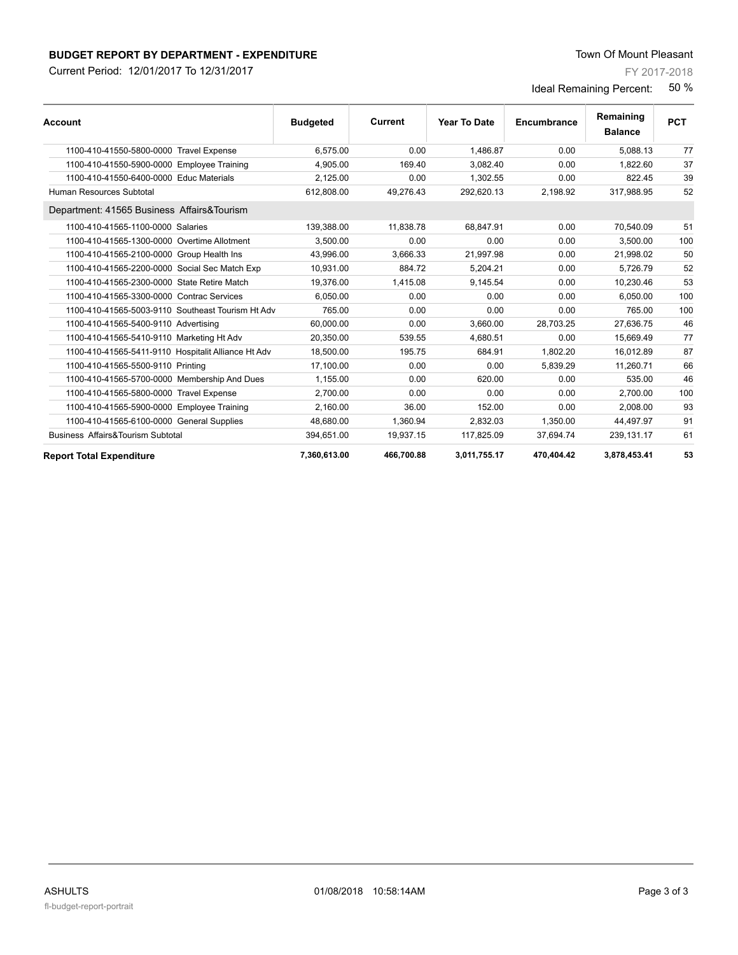Current Period: 12/01/2017 To 12/31/2017

FY 2017-2018

| <b>Account</b>                                      | <b>Budgeted</b> | <b>Current</b> | <b>Year To Date</b> | Encumbrance | Remaining<br><b>Balance</b> | <b>PCT</b> |
|-----------------------------------------------------|-----------------|----------------|---------------------|-------------|-----------------------------|------------|
| 1100-410-41550-5800-0000 Travel Expense             | 6.575.00        | 0.00           | 1.486.87            | 0.00        | 5.088.13                    | 77         |
| 1100-410-41550-5900-0000 Employee Training          | 4,905.00        | 169.40         | 3,082.40            | 0.00        | 1.822.60                    | 37         |
| 1100-410-41550-6400-0000 Educ Materials             | 2,125.00        | 0.00           | 1,302.55            | 0.00        | 822.45                      | 39         |
| Human Resources Subtotal                            | 612.808.00      | 49,276.43      | 292.620.13          | 2,198.92    | 317,988.95                  | 52         |
| Department: 41565 Business Affairs&Tourism          |                 |                |                     |             |                             |            |
| 1100-410-41565-1100-0000 Salaries                   | 139.388.00      | 11.838.78      | 68.847.91           | 0.00        | 70,540.09                   | 51         |
| 1100-410-41565-1300-0000 Overtime Allotment         | 3.500.00        | 0.00           | 0.00                | 0.00        | 3.500.00                    | 100        |
| 1100-410-41565-2100-0000 Group Health Ins           | 43.996.00       | 3.666.33       | 21.997.98           | 0.00        | 21.998.02                   | 50         |
| 1100-410-41565-2200-0000 Social Sec Match Exp       | 10,931.00       | 884.72         | 5.204.21            | 0.00        | 5.726.79                    | 52         |
| 1100-410-41565-2300-0000 State Retire Match         | 19.376.00       | 1.415.08       | 9,145.54            | 0.00        | 10.230.46                   | 53         |
| 1100-410-41565-3300-0000 Contrac Services           | 6.050.00        | 0.00           | 0.00                | 0.00        | 6.050.00                    | 100        |
| 1100-410-41565-5003-9110 Southeast Tourism Ht Adv   | 765.00          | 0.00           | 0.00                | 0.00        | 765.00                      | 100        |
| 1100-410-41565-5400-9110 Advertising                | 60.000.00       | 0.00           | 3,660.00            | 28,703.25   | 27,636.75                   | 46         |
| 1100-410-41565-5410-9110 Marketing Ht Adv           | 20,350.00       | 539.55         | 4,680.51            | 0.00        | 15,669.49                   | 77         |
| 1100-410-41565-5411-9110 Hospitalit Alliance Ht Adv | 18.500.00       | 195.75         | 684.91              | 1.802.20    | 16.012.89                   | 87         |
| 1100-410-41565-5500-9110 Printing                   | 17,100.00       | 0.00           | 0.00                | 5,839.29    | 11,260.71                   | 66         |
| 1100-410-41565-5700-0000 Membership And Dues        | 1,155.00        | 0.00           | 620.00              | 0.00        | 535.00                      | 46         |
| 1100-410-41565-5800-0000 Travel Expense             | 2,700.00        | 0.00           | 0.00                | 0.00        | 2.700.00                    | 100        |
| 1100-410-41565-5900-0000 Employee Training          | 2.160.00        | 36.00          | 152.00              | 0.00        | 2.008.00                    | 93         |
| 1100-410-41565-6100-0000 General Supplies           | 48.680.00       | 1,360.94       | 2,832.03            | 1,350.00    | 44,497.97                   | 91         |
| Business Affairs&Tourism Subtotal                   | 394,651.00      | 19,937.15      | 117,825.09          | 37,694.74   | 239,131.17                  | 61         |
| <b>Report Total Expenditure</b>                     | 7,360,613.00    | 466,700.88     | 3,011,755.17        | 470,404.42  | 3,878,453.41                | 53         |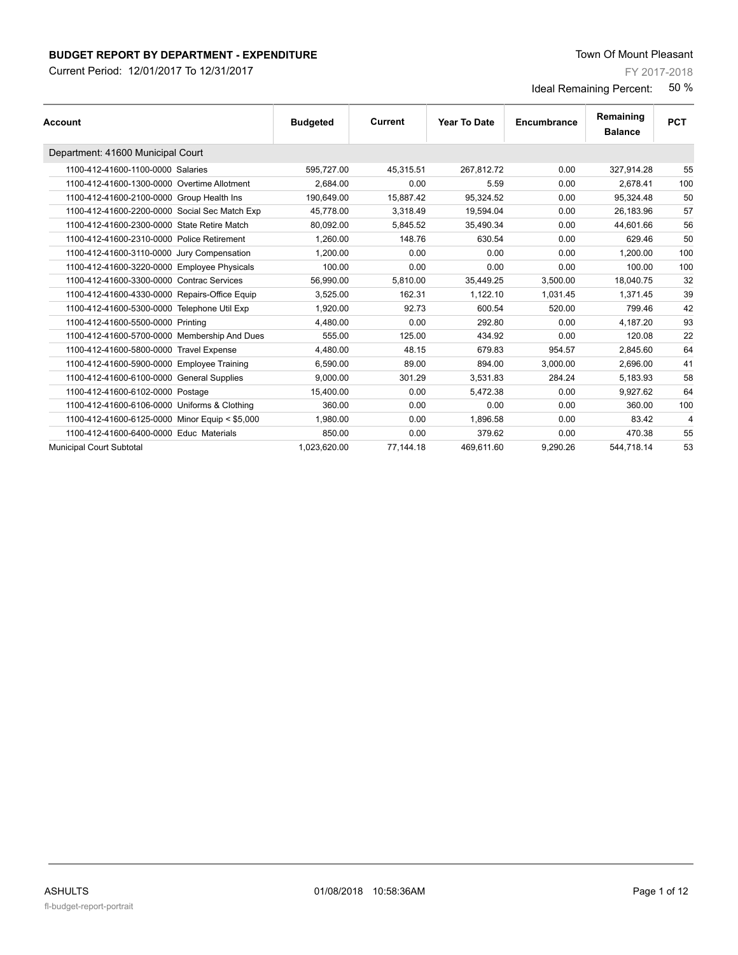Current Period: 12/01/2017 To 12/31/2017

FY 2017-2018

| Account                                        | <b>Budgeted</b> | Current   | Year To Date | Encumbrance | Remaining<br><b>Balance</b> | <b>PCT</b>     |
|------------------------------------------------|-----------------|-----------|--------------|-------------|-----------------------------|----------------|
| Department: 41600 Municipal Court              |                 |           |              |             |                             |                |
| 1100-412-41600-1100-0000 Salaries              | 595,727.00      | 45,315.51 | 267,812.72   | 0.00        | 327,914.28                  | 55             |
| 1100-412-41600-1300-0000 Overtime Allotment    | 2.684.00        | 0.00      | 5.59         | 0.00        | 2,678.41                    | 100            |
| 1100-412-41600-2100-0000 Group Health Ins      | 190.649.00      | 15.887.42 | 95,324.52    | 0.00        | 95.324.48                   | 50             |
| 1100-412-41600-2200-0000 Social Sec Match Exp  | 45,778.00       | 3,318.49  | 19,594.04    | 0.00        | 26,183.96                   | 57             |
| 1100-412-41600-2300-0000 State Retire Match    | 80,092.00       | 5,845.52  | 35,490.34    | 0.00        | 44.601.66                   | 56             |
| 1100-412-41600-2310-0000 Police Retirement     | 1.260.00        | 148.76    | 630.54       | 0.00        | 629.46                      | 50             |
| 1100-412-41600-3110-0000 Jury Compensation     | 1,200.00        | 0.00      | 0.00         | 0.00        | 1,200.00                    | 100            |
| 1100-412-41600-3220-0000 Employee Physicals    | 100.00          | 0.00      | 0.00         | 0.00        | 100.00                      | 100            |
| 1100-412-41600-3300-0000 Contrac Services      | 56,990.00       | 5,810.00  | 35,449.25    | 3,500.00    | 18,040.75                   | 32             |
| 1100-412-41600-4330-0000 Repairs-Office Equip  | 3,525.00        | 162.31    | 1.122.10     | 1.031.45    | 1.371.45                    | 39             |
| 1100-412-41600-5300-0000 Telephone Util Exp    | 1.920.00        | 92.73     | 600.54       | 520.00      | 799.46                      | 42             |
| 1100-412-41600-5500-0000 Printing              | 4.480.00        | 0.00      | 292.80       | 0.00        | 4.187.20                    | 93             |
| 1100-412-41600-5700-0000 Membership And Dues   | 555.00          | 125.00    | 434.92       | 0.00        | 120.08                      | 22             |
| 1100-412-41600-5800-0000 Travel Expense        | 4.480.00        | 48.15     | 679.83       | 954.57      | 2.845.60                    | 64             |
| 1100-412-41600-5900-0000 Employee Training     | 6.590.00        | 89.00     | 894.00       | 3.000.00    | 2.696.00                    | 41             |
| 1100-412-41600-6100-0000 General Supplies      | 9,000.00        | 301.29    | 3,531.83     | 284.24      | 5,183.93                    | 58             |
| 1100-412-41600-6102-0000 Postage               | 15,400.00       | 0.00      | 5,472.38     | 0.00        | 9,927.62                    | 64             |
| 1100-412-41600-6106-0000 Uniforms & Clothing   | 360.00          | 0.00      | 0.00         | 0.00        | 360.00                      | 100            |
| 1100-412-41600-6125-0000 Minor Equip < \$5,000 | 1.980.00        | 0.00      | 1.896.58     | 0.00        | 83.42                       | $\overline{4}$ |
| 1100-412-41600-6400-0000 Educ Materials        | 850.00          | 0.00      | 379.62       | 0.00        | 470.38                      | 55             |
| <b>Municipal Court Subtotal</b>                | 1.023.620.00    | 77,144.18 | 469.611.60   | 9.290.26    | 544.718.14                  | 53             |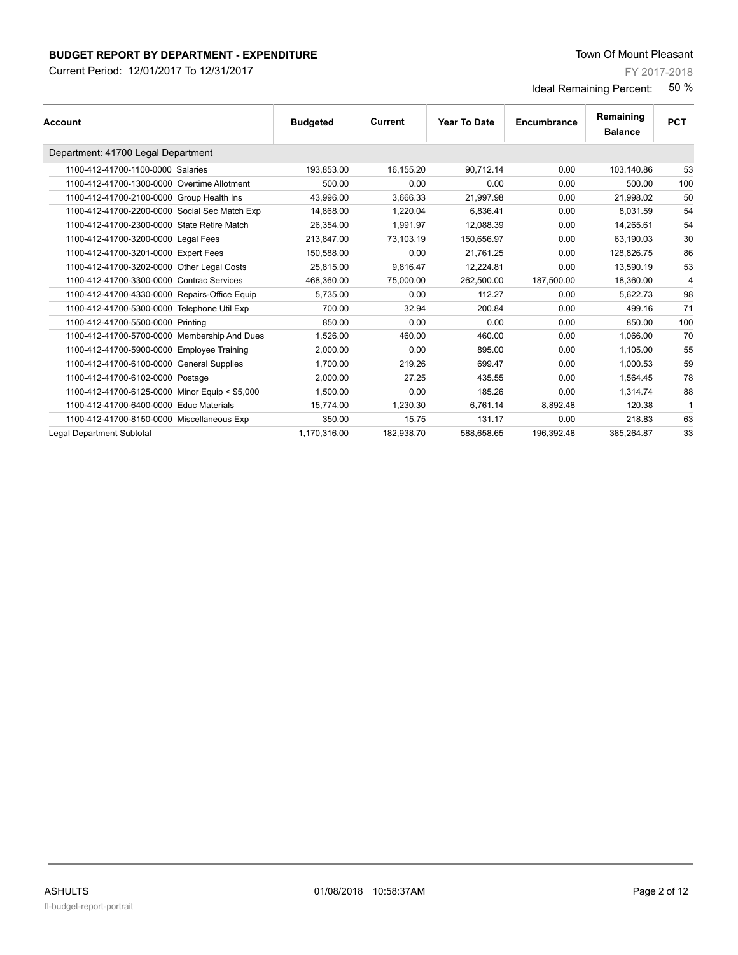Current Period: 12/01/2017 To 12/31/2017

FY 2017-2018

| <b>Account</b>                                 | <b>Budgeted</b> | Current    | <b>Year To Date</b> | Encumbrance | Remaining<br><b>Balance</b> | <b>PCT</b> |
|------------------------------------------------|-----------------|------------|---------------------|-------------|-----------------------------|------------|
| Department: 41700 Legal Department             |                 |            |                     |             |                             |            |
| 1100-412-41700-1100-0000 Salaries              | 193,853.00      | 16,155.20  | 90,712.14           | 0.00        | 103,140.86                  | 53         |
| 1100-412-41700-1300-0000 Overtime Allotment    | 500.00          | 0.00       | 0.00                | 0.00        | 500.00                      | 100        |
| 1100-412-41700-2100-0000 Group Health Ins      | 43.996.00       | 3,666.33   | 21,997.98           | 0.00        | 21.998.02                   | 50         |
| 1100-412-41700-2200-0000 Social Sec Match Exp  | 14,868.00       | 1,220.04   | 6,836.41            | 0.00        | 8,031.59                    | 54         |
| 1100-412-41700-2300-0000 State Retire Match    | 26.354.00       | 1.991.97   | 12.088.39           | 0.00        | 14.265.61                   | 54         |
| 1100-412-41700-3200-0000 Legal Fees            | 213,847.00      | 73,103.19  | 150,656.97          | 0.00        | 63,190.03                   | 30         |
| 1100-412-41700-3201-0000 Expert Fees           | 150.588.00      | 0.00       | 21.761.25           | 0.00        | 128.826.75                  | 86         |
| 1100-412-41700-3202-0000 Other Legal Costs     | 25,815.00       | 9,816.47   | 12,224.81           | 0.00        | 13,590.19                   | 53         |
| 1100-412-41700-3300-0000 Contrac Services      | 468.360.00      | 75,000.00  | 262.500.00          | 187.500.00  | 18.360.00                   | 4          |
| 1100-412-41700-4330-0000 Repairs-Office Equip  | 5,735.00        | 0.00       | 112.27              | 0.00        | 5,622.73                    | 98         |
| 1100-412-41700-5300-0000 Telephone Util Exp    | 700.00          | 32.94      | 200.84              | 0.00        | 499.16                      | 71         |
| 1100-412-41700-5500-0000 Printing              | 850.00          | 0.00       | 0.00                | 0.00        | 850.00                      | 100        |
| 1100-412-41700-5700-0000 Membership And Dues   | 1,526.00        | 460.00     | 460.00              | 0.00        | 1.066.00                    | 70         |
| 1100-412-41700-5900-0000 Employee Training     | 2,000.00        | 0.00       | 895.00              | 0.00        | 1,105.00                    | 55         |
| 1100-412-41700-6100-0000 General Supplies      | 1,700.00        | 219.26     | 699.47              | 0.00        | 1,000.53                    | 59         |
| 1100-412-41700-6102-0000 Postage               | 2,000.00        | 27.25      | 435.55              | 0.00        | 1,564.45                    | 78         |
| 1100-412-41700-6125-0000 Minor Equip < \$5,000 | 1,500.00        | 0.00       | 185.26              | 0.00        | 1,314.74                    | 88         |
| 1100-412-41700-6400-0000 Educ Materials        | 15,774.00       | 1.230.30   | 6.761.14            | 8.892.48    | 120.38                      |            |
| 1100-412-41700-8150-0000 Miscellaneous Exp     | 350.00          | 15.75      | 131.17              | 0.00        | 218.83                      | 63         |
| <b>Legal Department Subtotal</b>               | 1.170.316.00    | 182.938.70 | 588.658.65          | 196.392.48  | 385.264.87                  | 33         |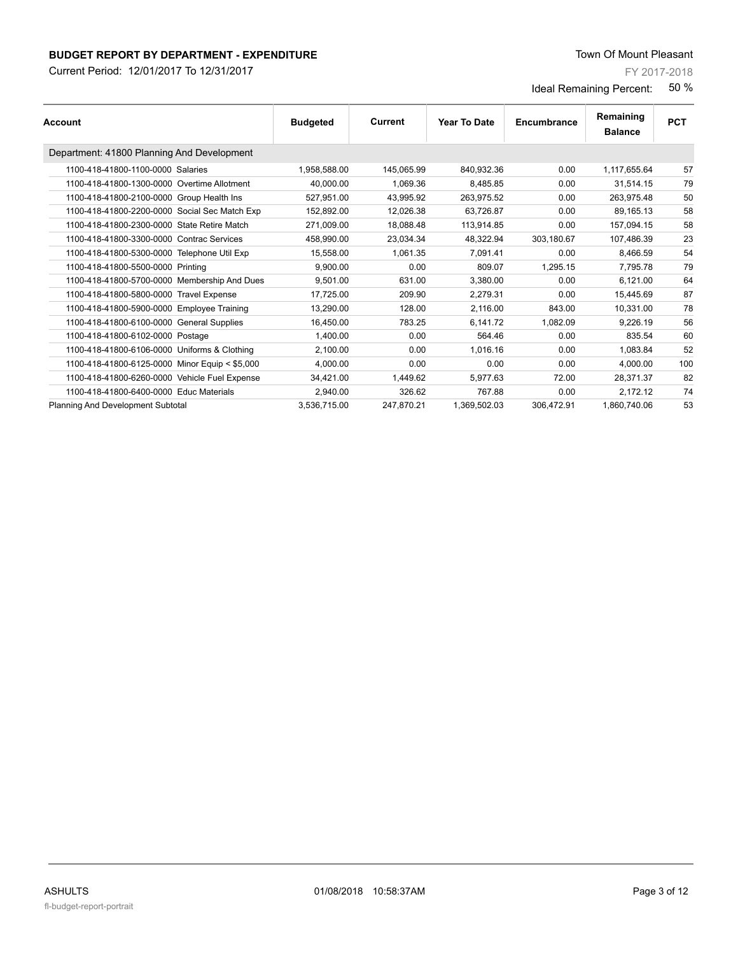Current Period: 12/01/2017 To 12/31/2017

FY 2017-2018

|                                                |                 |            |                     |             | Remaining      |            |
|------------------------------------------------|-----------------|------------|---------------------|-------------|----------------|------------|
| Account                                        | <b>Budgeted</b> | Current    | <b>Year To Date</b> | Encumbrance | <b>Balance</b> | <b>PCT</b> |
| Department: 41800 Planning And Development     |                 |            |                     |             |                |            |
| 1100-418-41800-1100-0000 Salaries              | 1,958,588.00    | 145,065.99 | 840,932.36          | 0.00        | 1,117,655.64   | 57         |
| 1100-418-41800-1300-0000 Overtime Allotment    | 40,000.00       | 1,069.36   | 8,485.85            | 0.00        | 31,514.15      | 79         |
| 1100-418-41800-2100-0000 Group Health Ins      | 527.951.00      | 43.995.92  | 263.975.52          | 0.00        | 263.975.48     | 50         |
| 1100-418-41800-2200-0000 Social Sec Match Exp  | 152,892.00      | 12,026.38  | 63,726.87           | 0.00        | 89,165.13      | 58         |
| 1100-418-41800-2300-0000 State Retire Match    | 271.009.00      | 18.088.48  | 113.914.85          | 0.00        | 157.094.15     | 58         |
| 1100-418-41800-3300-0000 Contrac Services      | 458.990.00      | 23,034.34  | 48,322.94           | 303,180.67  | 107.486.39     | 23         |
| 1100-418-41800-5300-0000 Telephone Util Exp    | 15,558.00       | 1,061.35   | 7,091.41            | 0.00        | 8,466.59       | 54         |
| 1100-418-41800-5500-0000 Printing              | 9.900.00        | 0.00       | 809.07              | 1.295.15    | 7.795.78       | 79         |
| 1100-418-41800-5700-0000 Membership And Dues   | 9.501.00        | 631.00     | 3.380.00            | 0.00        | 6.121.00       | 64         |
| 1100-418-41800-5800-0000 Travel Expense        | 17,725.00       | 209.90     | 2,279.31            | 0.00        | 15.445.69      | 87         |
| 1100-418-41800-5900-0000 Employee Training     | 13.290.00       | 128.00     | 2.116.00            | 843.00      | 10.331.00      | 78         |
| 1100-418-41800-6100-0000 General Supplies      | 16,450.00       | 783.25     | 6.141.72            | 1,082.09    | 9.226.19       | 56         |
| 1100-418-41800-6102-0000 Postage               | 1,400.00        | 0.00       | 564.46              | 0.00        | 835.54         | 60         |
| 1100-418-41800-6106-0000 Uniforms & Clothing   | 2,100.00        | 0.00       | 1.016.16            | 0.00        | 1.083.84       | 52         |
| 1100-418-41800-6125-0000 Minor Equip < \$5,000 | 4,000.00        | 0.00       | 0.00                | 0.00        | 4,000.00       | 100        |
| 1100-418-41800-6260-0000 Vehicle Fuel Expense  | 34,421.00       | 1,449.62   | 5,977.63            | 72.00       | 28,371.37      | 82         |
| 1100-418-41800-6400-0000 Educ Materials        | 2.940.00        | 326.62     | 767.88              | 0.00        | 2,172.12       | 74         |
| Planning And Development Subtotal              | 3,536,715.00    | 247,870.21 | 1,369,502.03        | 306,472.91  | 1,860,740.06   | 53         |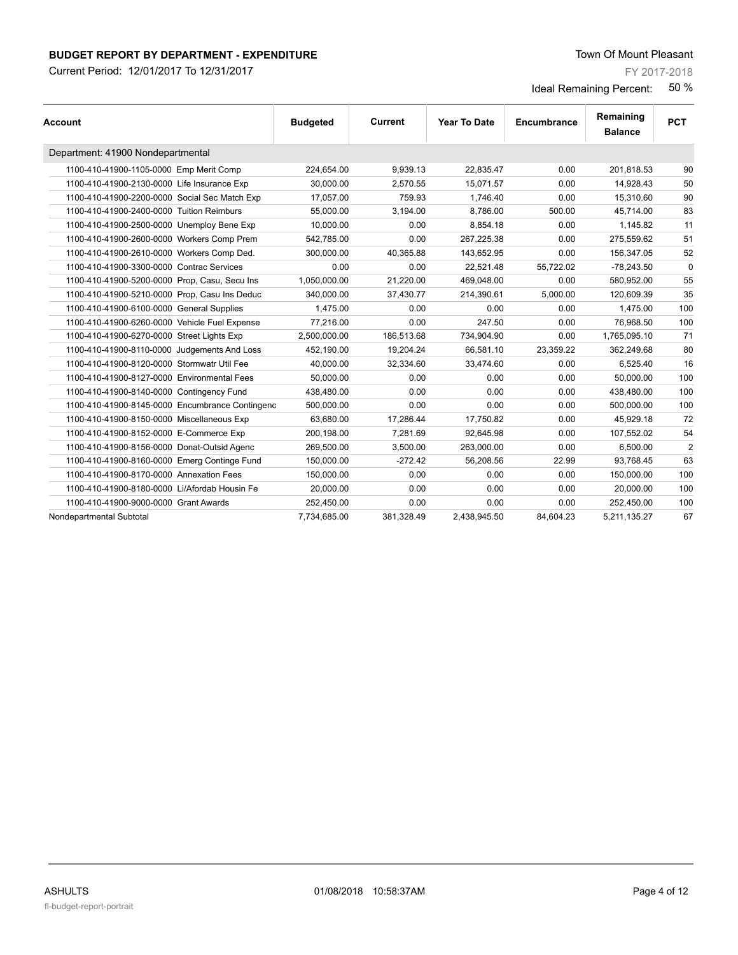Current Period: 12/01/2017 To 12/31/2017

FY 2017-2018

| <b>Account</b>                                  | <b>Budgeted</b> | <b>Current</b> | Year To Date | Encumbrance | Remaining<br><b>Balance</b> | <b>PCT</b>     |
|-------------------------------------------------|-----------------|----------------|--------------|-------------|-----------------------------|----------------|
| Department: 41900 Nondepartmental               |                 |                |              |             |                             |                |
| 1100-410-41900-1105-0000 Emp Merit Comp         | 224,654.00      | 9,939.13       | 22,835.47    | 0.00        | 201,818.53                  | 90             |
| 1100-410-41900-2130-0000 Life Insurance Exp     | 30.000.00       | 2.570.55       | 15.071.57    | 0.00        | 14,928.43                   | 50             |
| 1100-410-41900-2200-0000 Social Sec Match Exp   | 17,057.00       | 759.93         | 1,746.40     | 0.00        | 15,310.60                   | 90             |
| 1100-410-41900-2400-0000 Tuition Reimburs       | 55.000.00       | 3,194.00       | 8.786.00     | 500.00      | 45.714.00                   | 83             |
| 1100-410-41900-2500-0000 Unemploy Bene Exp      | 10.000.00       | 0.00           | 8.854.18     | 0.00        | 1.145.82                    | 11             |
| 1100-410-41900-2600-0000 Workers Comp Prem      | 542,785.00      | 0.00           | 267,225.38   | 0.00        | 275,559.62                  | 51             |
| 1100-410-41900-2610-0000 Workers Comp Ded.      | 300,000.00      | 40,365.88      | 143,652.95   | 0.00        | 156,347.05                  | 52             |
| 1100-410-41900-3300-0000 Contrac Services       | 0.00            | 0.00           | 22.521.48    | 55.722.02   | $-78,243.50$                | $\Omega$       |
| 1100-410-41900-5200-0000 Prop, Casu, Secu Ins   | 1.050.000.00    | 21.220.00      | 469.048.00   | 0.00        | 580.952.00                  | 55             |
| 1100-410-41900-5210-0000 Prop, Casu Ins Deduc   | 340,000.00      | 37,430.77      | 214,390.61   | 5,000.00    | 120,609.39                  | 35             |
| 1100-410-41900-6100-0000 General Supplies       | 1.475.00        | 0.00           | 0.00         | 0.00        | 1,475.00                    | 100            |
| 1100-410-41900-6260-0000 Vehicle Fuel Expense   | 77.216.00       | 0.00           | 247.50       | 0.00        | 76.968.50                   | 100            |
| 1100-410-41900-6270-0000 Street Lights Exp      | 2,500,000.00    | 186,513.68     | 734,904.90   | 0.00        | 1,765,095.10                | 71             |
| 1100-410-41900-8110-0000 Judgements And Loss    | 452,190.00      | 19,204.24      | 66,581.10    | 23,359.22   | 362,249.68                  | 80             |
| 1100-410-41900-8120-0000 Stormwatr Util Fee     | 40.000.00       | 32,334.60      | 33,474.60    | 0.00        | 6,525.40                    | 16             |
| 1100-410-41900-8127-0000 Environmental Fees     | 50,000.00       | 0.00           | 0.00         | 0.00        | 50,000.00                   | 100            |
| 1100-410-41900-8140-0000 Contingency Fund       | 438,480.00      | 0.00           | 0.00         | 0.00        | 438,480.00                  | 100            |
| 1100-410-41900-8145-0000 Encumbrance Contingenc | 500.000.00      | 0.00           | 0.00         | 0.00        | 500.000.00                  | 100            |
| 1100-410-41900-8150-0000 Miscellaneous Exp      | 63,680.00       | 17,286.44      | 17,750.82    | 0.00        | 45,929.18                   | 72             |
| 1100-410-41900-8152-0000 E-Commerce Exp         | 200,198.00      | 7,281.69       | 92,645.98    | 0.00        | 107,552.02                  | 54             |
| 1100-410-41900-8156-0000 Donat-Outsid Agenc     | 269,500.00      | 3.500.00       | 263.000.00   | 0.00        | 6,500.00                    | $\overline{2}$ |
| 1100-410-41900-8160-0000 Emerg Continge Fund    | 150,000.00      | $-272.42$      | 56,208.56    | 22.99       | 93,768.45                   | 63             |
| 1100-410-41900-8170-0000 Annexation Fees        | 150,000.00      | 0.00           | 0.00         | 0.00        | 150,000.00                  | 100            |
| 1100-410-41900-8180-0000 Li/Afordab Housin Fe   | 20,000.00       | 0.00           | 0.00         | 0.00        | 20,000.00                   | 100            |
| 1100-410-41900-9000-0000 Grant Awards           | 252,450.00      | 0.00           | 0.00         | 0.00        | 252,450.00                  | 100            |
| Nondepartmental Subtotal                        | 7,734,685.00    | 381,328.49     | 2,438,945.50 | 84,604.23   | 5,211,135.27                | 67             |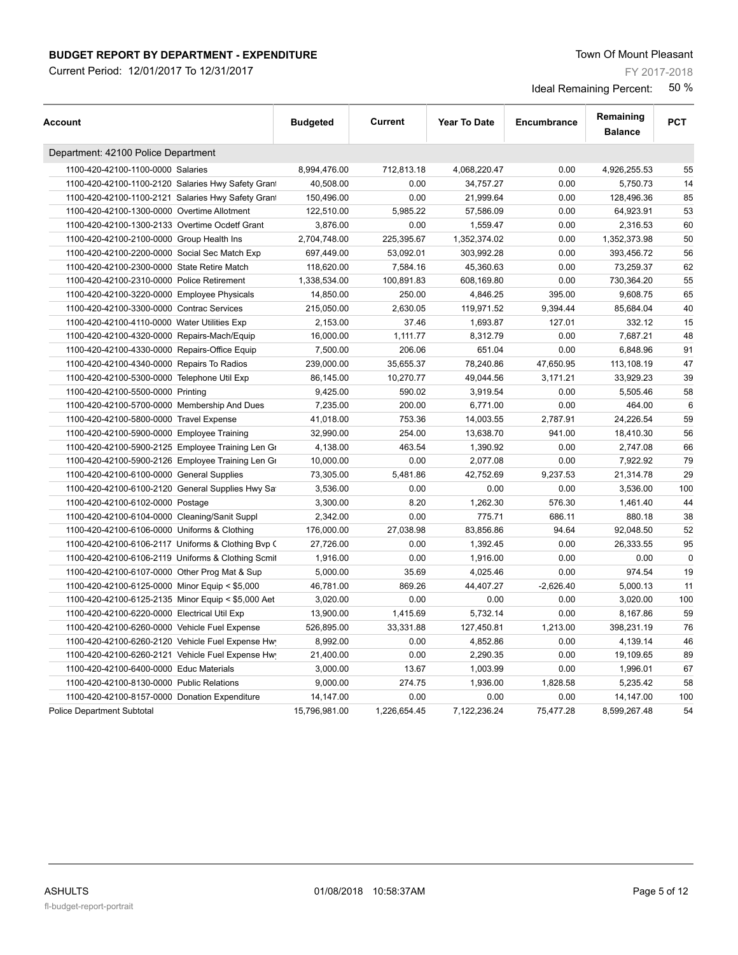Current Period: 12/01/2017 To 12/31/2017

FY 2017-2018

| Account                                            | <b>Budgeted</b> | Current      | <b>Year To Date</b> | Encumbrance | Remaining<br><b>Balance</b> | <b>PCT</b>  |
|----------------------------------------------------|-----------------|--------------|---------------------|-------------|-----------------------------|-------------|
| Department: 42100 Police Department                |                 |              |                     |             |                             |             |
| 1100-420-42100-1100-0000 Salaries                  | 8,994,476.00    | 712,813.18   | 4,068,220.47        | 0.00        | 4,926,255.53                | 55          |
| 1100-420-42100-1100-2120 Salaries Hwy Safety Gran  | 40,508.00       | 0.00         | 34,757.27           | 0.00        | 5,750.73                    | 14          |
| 1100-420-42100-1100-2121 Salaries Hwy Safety Gran  | 150,496.00      | 0.00         | 21,999.64           | 0.00        | 128,496.36                  | 85          |
| 1100-420-42100-1300-0000 Overtime Allotment        | 122,510.00      | 5,985.22     | 57,586.09           | 0.00        | 64,923.91                   | 53          |
| 1100-420-42100-1300-2133 Overtime Ocdetf Grant     | 3,876.00        | 0.00         | 1,559.47            | 0.00        | 2,316.53                    | 60          |
| 1100-420-42100-2100-0000 Group Health Ins          | 2,704,748.00    | 225,395.67   | 1,352,374.02        | 0.00        | 1,352,373.98                | 50          |
| 1100-420-42100-2200-0000 Social Sec Match Exp      | 697,449.00      | 53,092.01    | 303,992.28          | 0.00        | 393,456.72                  | 56          |
| 1100-420-42100-2300-0000 State Retire Match        | 118,620.00      | 7,584.16     | 45,360.63           | 0.00        | 73,259.37                   | 62          |
| 1100-420-42100-2310-0000 Police Retirement         | 1,338,534.00    | 100,891.83   | 608,169.80          | 0.00        | 730,364.20                  | 55          |
| 1100-420-42100-3220-0000 Employee Physicals        | 14,850.00       | 250.00       | 4,846.25            | 395.00      | 9,608.75                    | 65          |
| 1100-420-42100-3300-0000 Contrac Services          | 215,050.00      | 2,630.05     | 119,971.52          | 9,394.44    | 85,684.04                   | 40          |
| 1100-420-42100-4110-0000 Water Utilities Exp       | 2,153.00        | 37.46        | 1,693.87            | 127.01      | 332.12                      | 15          |
| 1100-420-42100-4320-0000 Repairs-Mach/Equip        | 16,000.00       | 1,111.77     | 8,312.79            | 0.00        | 7,687.21                    | 48          |
| 1100-420-42100-4330-0000 Repairs-Office Equip      | 7,500.00        | 206.06       | 651.04              | 0.00        | 6,848.96                    | 91          |
| 1100-420-42100-4340-0000 Repairs To Radios         | 239,000.00      | 35,655.37    | 78,240.86           | 47,650.95   | 113,108.19                  | 47          |
| 1100-420-42100-5300-0000 Telephone Util Exp        | 86,145.00       | 10,270.77    | 49,044.56           | 3,171.21    | 33,929.23                   | 39          |
| 1100-420-42100-5500-0000 Printing                  | 9,425.00        | 590.02       | 3,919.54            | 0.00        | 5,505.46                    | 58          |
| 1100-420-42100-5700-0000 Membership And Dues       | 7,235.00        | 200.00       | 6,771.00            | 0.00        | 464.00                      | 6           |
| 1100-420-42100-5800-0000 Travel Expense            | 41,018.00       | 753.36       | 14,003.55           | 2,787.91    | 24,226.54                   | 59          |
| 1100-420-42100-5900-0000 Employee Training         | 32,990.00       | 254.00       | 13,638.70           | 941.00      | 18,410.30                   | 56          |
| 1100-420-42100-5900-2125 Employee Training Len Gr  | 4,138.00        | 463.54       | 1,390.92            | 0.00        | 2,747.08                    | 66          |
| 1100-420-42100-5900-2126 Employee Training Len Gr  | 10,000.00       | 0.00         | 2,077.08            | 0.00        | 7,922.92                    | 79          |
| 1100-420-42100-6100-0000 General Supplies          | 73,305.00       | 5,481.86     | 42,752.69           | 9,237.53    | 21,314.78                   | 29          |
| 1100-420-42100-6100-2120 General Supplies Hwy Sa   | 3,536.00        | 0.00         | 0.00                | 0.00        | 3,536.00                    | 100         |
| 1100-420-42100-6102-0000 Postage                   | 3,300.00        | 8.20         | 1,262.30            | 576.30      | 1,461.40                    | 44          |
| 1100-420-42100-6104-0000 Cleaning/Sanit Suppl      | 2,342.00        | 0.00         | 775.71              | 686.11      | 880.18                      | 38          |
| 1100-420-42100-6106-0000 Uniforms & Clothing       | 176,000.00      | 27,038.98    | 83,856.86           | 94.64       | 92,048.50                   | 52          |
| 1100-420-42100-6106-2117 Uniforms & Clothing Bvp ( | 27,726.00       | 0.00         | 1,392.45            | 0.00        | 26,333.55                   | 95          |
| 1100-420-42100-6106-2119 Uniforms & Clothing Scmit | 1,916.00        | 0.00         | 1,916.00            | 0.00        | 0.00                        | $\mathbf 0$ |
| 1100-420-42100-6107-0000 Other Prog Mat & Sup      | 5,000.00        | 35.69        | 4,025.46            | 0.00        | 974.54                      | 19          |
| 1100-420-42100-6125-0000 Minor Equip < \$5,000     | 46,781.00       | 869.26       | 44,407.27           | $-2,626.40$ | 5,000.13                    | 11          |
| 1100-420-42100-6125-2135 Minor Equip < \$5,000 Aet | 3,020.00        | 0.00         | 0.00                | 0.00        | 3,020.00                    | 100         |
| 1100-420-42100-6220-0000 Electrical Util Exp       | 13,900.00       | 1,415.69     | 5,732.14            | 0.00        | 8,167.86                    | 59          |
| 1100-420-42100-6260-0000 Vehicle Fuel Expense      | 526,895.00      | 33,331.88    | 127,450.81          | 1,213.00    | 398,231.19                  | 76          |
| 1100-420-42100-6260-2120 Vehicle Fuel Expense Hw   | 8,992.00        | 0.00         | 4,852.86            | 0.00        | 4,139.14                    | 46          |
| 1100-420-42100-6260-2121 Vehicle Fuel Expense Hw   | 21,400.00       | 0.00         | 2,290.35            | 0.00        | 19,109.65                   | 89          |
| 1100-420-42100-6400-0000 Educ Materials            | 3,000.00        | 13.67        | 1,003.99            | 0.00        | 1,996.01                    | 67          |
| 1100-420-42100-8130-0000 Public Relations          | 9,000.00        | 274.75       | 1,936.00            | 1,828.58    | 5,235.42                    | 58          |
| 1100-420-42100-8157-0000 Donation Expenditure      | 14,147.00       | 0.00         | 0.00                | 0.00        | 14,147.00                   | 100         |
| <b>Police Department Subtotal</b>                  | 15,796,981.00   | 1,226,654.45 | 7,122,236.24        | 75,477.28   | 8,599,267.48                | 54          |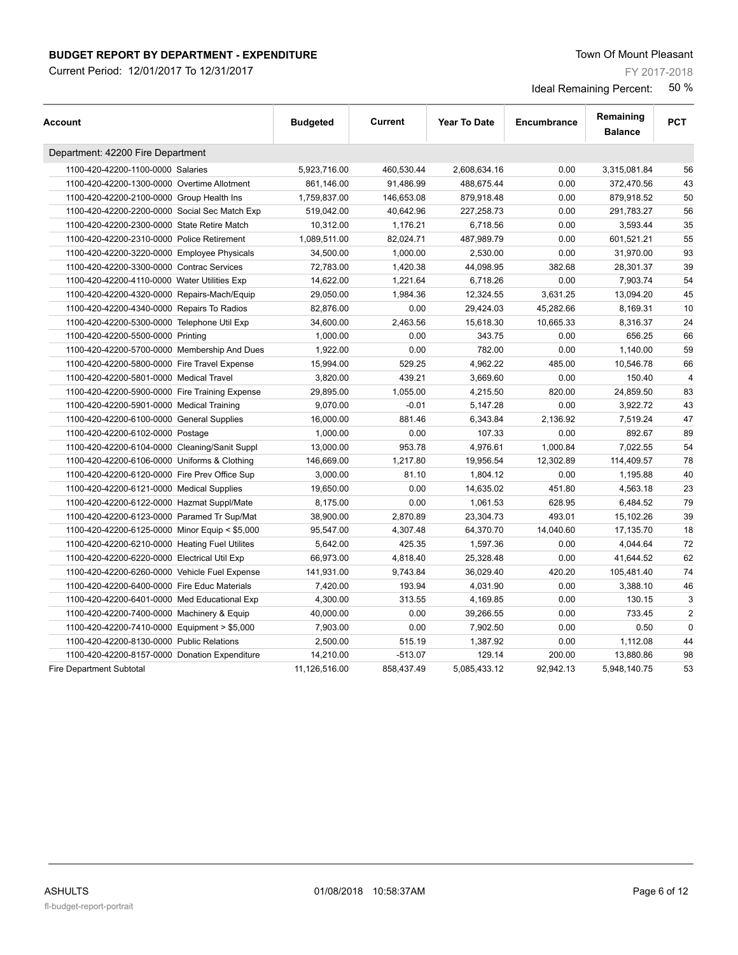Current Period: 12/01/2017 To 12/31/2017

FY 2017-2018

| Account                                        | <b>Budgeted</b> | Current    | <b>Year To Date</b> | Encumbrance | Remaining<br><b>Balance</b> | <b>PCT</b>     |
|------------------------------------------------|-----------------|------------|---------------------|-------------|-----------------------------|----------------|
| Department: 42200 Fire Department              |                 |            |                     |             |                             |                |
| 1100-420-42200-1100-0000 Salaries              | 5,923,716.00    | 460,530.44 | 2,608,634.16        | 0.00        | 3,315,081.84                | 56             |
| 1100-420-42200-1300-0000 Overtime Allotment    | 861,146.00      | 91,486.99  | 488,675.44          | 0.00        | 372,470.56                  | 43             |
| 1100-420-42200-2100-0000 Group Health Ins      | 1,759,837.00    | 146,653.08 | 879,918.48          | 0.00        | 879,918.52                  | 50             |
| 1100-420-42200-2200-0000 Social Sec Match Exp  | 519,042.00      | 40,642.96  | 227,258.73          | 0.00        | 291,783.27                  | 56             |
| 1100-420-42200-2300-0000 State Retire Match    | 10,312.00       | 1,176.21   | 6,718.56            | 0.00        | 3,593.44                    | 35             |
| 1100-420-42200-2310-0000 Police Retirement     | 1,089,511.00    | 82,024.71  | 487,989.79          | 0.00        | 601,521.21                  | 55             |
| 1100-420-42200-3220-0000 Employee Physicals    | 34,500.00       | 1,000.00   | 2,530.00            | 0.00        | 31,970.00                   | 93             |
| 1100-420-42200-3300-0000 Contrac Services      | 72,783.00       | 1,420.38   | 44,098.95           | 382.68      | 28,301.37                   | 39             |
| 1100-420-42200-4110-0000 Water Utilities Exp   | 14,622.00       | 1,221.64   | 6,718.26            | 0.00        | 7,903.74                    | 54             |
| 1100-420-42200-4320-0000 Repairs-Mach/Equip    | 29,050.00       | 1,984.36   | 12,324.55           | 3,631.25    | 13,094.20                   | 45             |
| 1100-420-42200-4340-0000 Repairs To Radios     | 82,876.00       | 0.00       | 29,424.03           | 45,282.66   | 8,169.31                    | 10             |
| 1100-420-42200-5300-0000 Telephone Util Exp    | 34,600.00       | 2,463.56   | 15,618.30           | 10,665.33   | 8,316.37                    | 24             |
| 1100-420-42200-5500-0000 Printing              | 1,000.00        | 0.00       | 343.75              | 0.00        | 656.25                      | 66             |
| 1100-420-42200-5700-0000 Membership And Dues   | 1,922.00        | 0.00       | 782.00              | 0.00        | 1,140.00                    | 59             |
| 1100-420-42200-5800-0000 Fire Travel Expense   | 15,994.00       | 529.25     | 4,962.22            | 485.00      | 10,546.78                   | 66             |
| 1100-420-42200-5801-0000 Medical Travel        | 3,820.00        | 439.21     | 3,669.60            | 0.00        | 150.40                      | $\overline{4}$ |
| 1100-420-42200-5900-0000 Fire Training Expense | 29,895.00       | 1,055.00   | 4,215.50            | 820.00      | 24,859.50                   | 83             |
| 1100-420-42200-5901-0000 Medical Training      | 9,070.00        | $-0.01$    | 5,147.28            | 0.00        | 3,922.72                    | 43             |
| 1100-420-42200-6100-0000 General Supplies      | 16,000.00       | 881.46     | 6,343.84            | 2,136.92    | 7,519.24                    | 47             |
| 1100-420-42200-6102-0000 Postage               | 1,000.00        | 0.00       | 107.33              | 0.00        | 892.67                      | 89             |
| 1100-420-42200-6104-0000 Cleaning/Sanit Suppl  | 13,000.00       | 953.78     | 4,976.61            | 1,000.84    | 7,022.55                    | 54             |
| 1100-420-42200-6106-0000 Uniforms & Clothing   | 146,669.00      | 1,217.80   | 19,956.54           | 12,302.89   | 114,409.57                  | 78             |
| 1100-420-42200-6120-0000 Fire Prev Office Sup  | 3,000.00        | 81.10      | 1,804.12            | 0.00        | 1,195.88                    | 40             |
| 1100-420-42200-6121-0000 Medical Supplies      | 19,650.00       | 0.00       | 14,635.02           | 451.80      | 4,563.18                    | 23             |
| 1100-420-42200-6122-0000 Hazmat Suppl/Mate     | 8,175.00        | 0.00       | 1,061.53            | 628.95      | 6,484.52                    | 79             |
| 1100-420-42200-6123-0000 Paramed Tr Sup/Mat    | 38,900.00       | 2,870.89   | 23,304.73           | 493.01      | 15,102.26                   | 39             |
| 1100-420-42200-6125-0000 Minor Equip < \$5,000 | 95,547.00       | 4,307.48   | 64,370.70           | 14,040.60   | 17,135.70                   | 18             |
| 1100-420-42200-6210-0000 Heating Fuel Utilites | 5,642.00        | 425.35     | 1,597.36            | 0.00        | 4,044.64                    | 72             |
| 1100-420-42200-6220-0000 Electrical Util Exp   | 66,973.00       | 4,818.40   | 25,328.48           | 0.00        | 41,644.52                   | 62             |
| 1100-420-42200-6260-0000 Vehicle Fuel Expense  | 141,931.00      | 9,743.84   | 36,029.40           | 420.20      | 105,481.40                  | 74             |
| 1100-420-42200-6400-0000 Fire Educ Materials   | 7,420.00        | 193.94     | 4,031.90            | 0.00        | 3,388.10                    | 46             |
| 1100-420-42200-6401-0000 Med Educational Exp   | 4,300.00        | 313.55     | 4,169.85            | 0.00        | 130.15                      | 3              |
| 1100-420-42200-7400-0000 Machinery & Equip     | 40,000.00       | 0.00       | 39,266.55           | 0.00        | 733.45                      | $\overline{2}$ |
| 1100-420-42200-7410-0000 Equipment > \$5,000   | 7,903.00        | 0.00       | 7,902.50            | 0.00        | 0.50                        | $\mathbf 0$    |
| 1100-420-42200-8130-0000 Public Relations      | 2,500.00        | 515.19     | 1,387.92            | 0.00        | 1,112.08                    | 44             |
| 1100-420-42200-8157-0000 Donation Expenditure  | 14,210.00       | $-513.07$  | 129.14              | 200.00      | 13,880.86                   | 98             |
| <b>Fire Department Subtotal</b>                | 11,126,516.00   | 858,437.49 | 5,085,433.12        | 92,942.13   | 5,948,140.75                | 53             |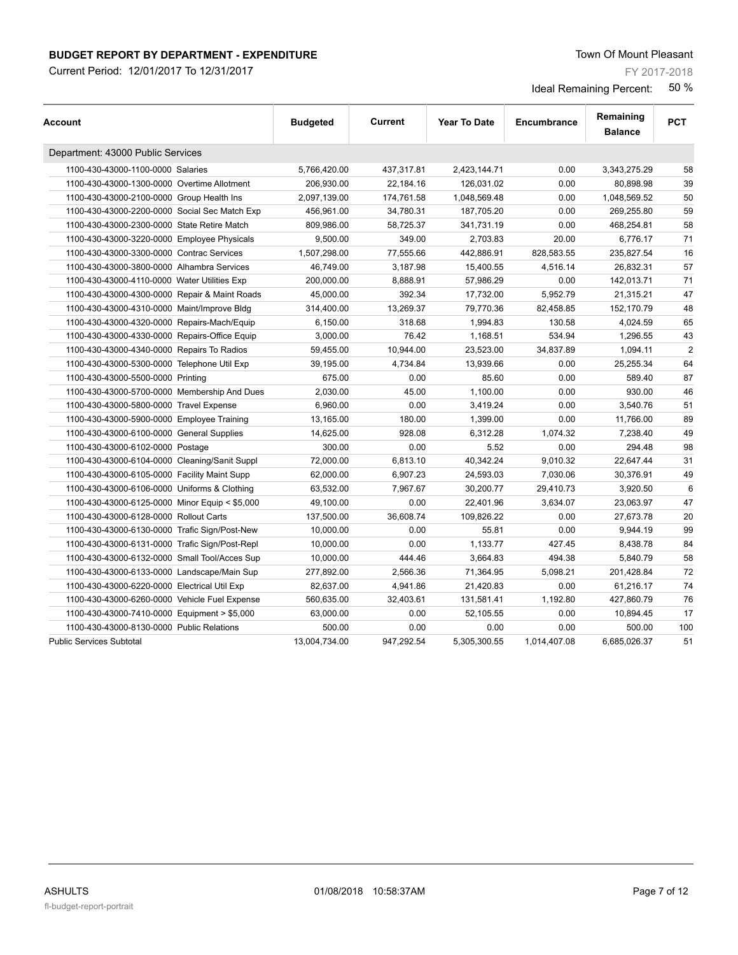Current Period: 12/01/2017 To 12/31/2017

FY 2017-2018

| Account                                        | <b>Budgeted</b> | Current    | <b>Year To Date</b> | Encumbrance  | Remaining<br><b>Balance</b> | <b>PCT</b>     |
|------------------------------------------------|-----------------|------------|---------------------|--------------|-----------------------------|----------------|
| Department: 43000 Public Services              |                 |            |                     |              |                             |                |
| 1100-430-43000-1100-0000 Salaries              | 5,766,420.00    | 437,317.81 | 2,423,144.71        | 0.00         | 3,343,275.29                | 58             |
| 1100-430-43000-1300-0000 Overtime Allotment    | 206,930.00      | 22,184.16  | 126,031.02          | 0.00         | 80,898.98                   | 39             |
| 1100-430-43000-2100-0000 Group Health Ins      | 2,097,139.00    | 174,761.58 | 1,048,569.48        | 0.00         | 1,048,569.52                | 50             |
| 1100-430-43000-2200-0000 Social Sec Match Exp  | 456,961.00      | 34,780.31  | 187,705.20          | 0.00         | 269,255.80                  | 59             |
| 1100-430-43000-2300-0000 State Retire Match    | 809,986.00      | 58,725.37  | 341,731.19          | 0.00         | 468,254.81                  | 58             |
| 1100-430-43000-3220-0000 Employee Physicals    | 9,500.00        | 349.00     | 2,703.83            | 20.00        | 6,776.17                    | 71             |
| 1100-430-43000-3300-0000 Contrac Services      | 1,507,298.00    | 77,555.66  | 442,886.91          | 828,583.55   | 235,827.54                  | 16             |
| 1100-430-43000-3800-0000 Alhambra Services     | 46,749.00       | 3,187.98   | 15,400.55           | 4,516.14     | 26,832.31                   | 57             |
| 1100-430-43000-4110-0000 Water Utilities Exp   | 200,000.00      | 8,888.91   | 57,986.29           | 0.00         | 142,013.71                  | 71             |
| 1100-430-43000-4300-0000 Repair & Maint Roads  | 45,000.00       | 392.34     | 17,732.00           | 5,952.79     | 21,315.21                   | 47             |
| 1100-430-43000-4310-0000 Maint/Improve Bldg    | 314,400.00      | 13,269.37  | 79,770.36           | 82,458.85    | 152,170.79                  | 48             |
| 1100-430-43000-4320-0000 Repairs-Mach/Equip    | 6,150.00        | 318.68     | 1,994.83            | 130.58       | 4,024.59                    | 65             |
| 1100-430-43000-4330-0000 Repairs-Office Equip  | 3,000.00        | 76.42      | 1,168.51            | 534.94       | 1,296.55                    | 43             |
| 1100-430-43000-4340-0000 Repairs To Radios     | 59,455.00       | 10,944.00  | 23,523.00           | 34,837.89    | 1,094.11                    | $\overline{2}$ |
| 1100-430-43000-5300-0000 Telephone Util Exp    | 39,195.00       | 4,734.84   | 13,939.66           | 0.00         | 25,255.34                   | 64             |
| 1100-430-43000-5500-0000 Printing              | 675.00          | 0.00       | 85.60               | 0.00         | 589.40                      | 87             |
| 1100-430-43000-5700-0000 Membership And Dues   | 2,030.00        | 45.00      | 1,100.00            | 0.00         | 930.00                      | 46             |
| 1100-430-43000-5800-0000 Travel Expense        | 6,960.00        | 0.00       | 3,419.24            | 0.00         | 3,540.76                    | 51             |
| 1100-430-43000-5900-0000 Employee Training     | 13,165.00       | 180.00     | 1,399.00            | 0.00         | 11,766.00                   | 89             |
| 1100-430-43000-6100-0000 General Supplies      | 14,625.00       | 928.08     | 6,312.28            | 1,074.32     | 7,238.40                    | 49             |
| 1100-430-43000-6102-0000 Postage               | 300.00          | 0.00       | 5.52                | 0.00         | 294.48                      | 98             |
| 1100-430-43000-6104-0000 Cleaning/Sanit Suppl  | 72,000.00       | 6,813.10   | 40,342.24           | 9,010.32     | 22,647.44                   | 31             |
| 1100-430-43000-6105-0000 Facility Maint Supp   | 62,000.00       | 6,907.23   | 24,593.03           | 7,030.06     | 30,376.91                   | 49             |
| 1100-430-43000-6106-0000 Uniforms & Clothing   | 63,532.00       | 7,967.67   | 30,200.77           | 29,410.73    | 3,920.50                    | 6              |
| 1100-430-43000-6125-0000 Minor Equip < \$5,000 | 49,100.00       | 0.00       | 22,401.96           | 3,634.07     | 23,063.97                   | 47             |
| 1100-430-43000-6128-0000 Rollout Carts         | 137,500.00      | 36,608.74  | 109,826.22          | 0.00         | 27,673.78                   | 20             |
| 1100-430-43000-6130-0000 Trafic Sign/Post-New  | 10,000.00       | 0.00       | 55.81               | 0.00         | 9,944.19                    | 99             |
| 1100-430-43000-6131-0000 Trafic Sign/Post-Repl | 10,000.00       | 0.00       | 1,133.77            | 427.45       | 8,438.78                    | 84             |
| 1100-430-43000-6132-0000 Small Tool/Acces Sup  | 10,000.00       | 444.46     | 3,664.83            | 494.38       | 5,840.79                    | 58             |
| 1100-430-43000-6133-0000 Landscape/Main Sup    | 277,892.00      | 2,566.36   | 71,364.95           | 5,098.21     | 201,428.84                  | 72             |
| 1100-430-43000-6220-0000 Electrical Util Exp   | 82,637.00       | 4,941.86   | 21,420.83           | 0.00         | 61,216.17                   | 74             |
| 1100-430-43000-6260-0000 Vehicle Fuel Expense  | 560,635.00      | 32,403.61  | 131,581.41          | 1,192.80     | 427,860.79                  | 76             |
| 1100-430-43000-7410-0000 Equipment > \$5,000   | 63,000.00       | 0.00       | 52,105.55           | 0.00         | 10,894.45                   | 17             |
| 1100-430-43000-8130-0000 Public Relations      | 500.00          | 0.00       | 0.00                | 0.00         | 500.00                      | 100            |
| <b>Public Services Subtotal</b>                | 13,004,734.00   | 947,292.54 | 5,305,300.55        | 1,014,407.08 | 6,685,026.37                | 51             |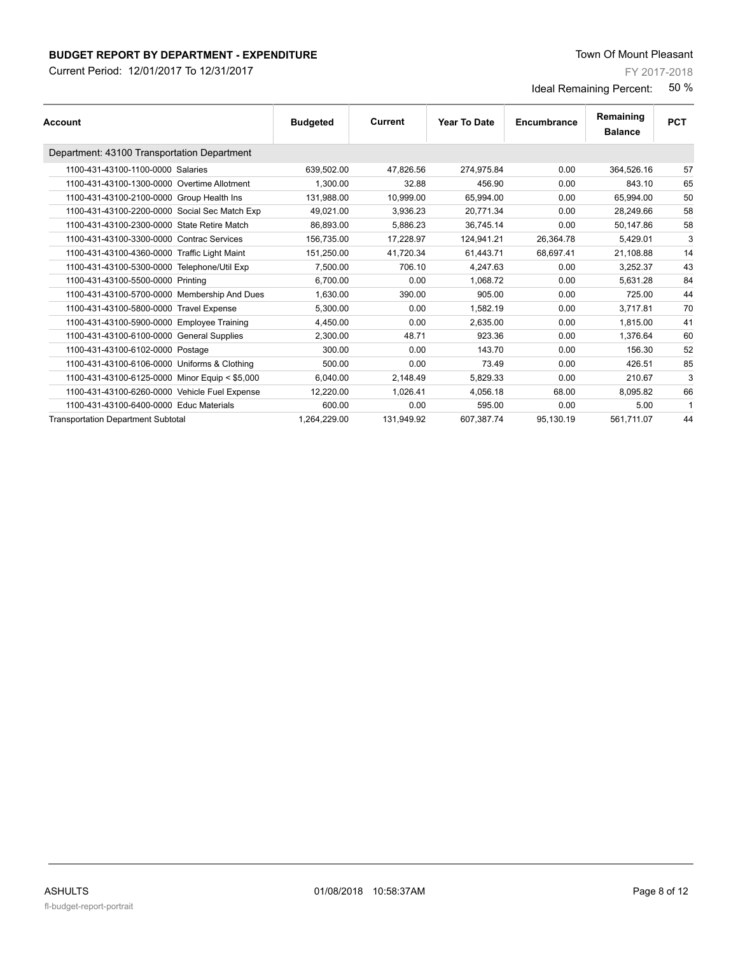Current Period: 12/01/2017 To 12/31/2017

FY 2017-2018

| <b>Account</b>                                 | <b>Budgeted</b> | Current    | Year To Date | Encumbrance | Remaining<br><b>Balance</b> | <b>PCT</b> |
|------------------------------------------------|-----------------|------------|--------------|-------------|-----------------------------|------------|
| Department: 43100 Transportation Department    |                 |            |              |             |                             |            |
| 1100-431-43100-1100-0000 Salaries              | 639,502.00      | 47,826.56  | 274,975.84   | 0.00        | 364,526.16                  | 57         |
| 1100-431-43100-1300-0000 Overtime Allotment    | 1.300.00        | 32.88      | 456.90       | 0.00        | 843.10                      | 65         |
| 1100-431-43100-2100-0000 Group Health Ins      | 131,988.00      | 10,999.00  | 65,994.00    | 0.00        | 65,994.00                   | 50         |
| 1100-431-43100-2200-0000 Social Sec Match Exp  | 49,021.00       | 3,936.23   | 20,771.34    | 0.00        | 28,249.66                   | 58         |
| 1100-431-43100-2300-0000 State Retire Match    | 86,893.00       | 5,886.23   | 36,745.14    | 0.00        | 50,147.86                   | 58         |
| 1100-431-43100-3300-0000 Contrac Services      | 156.735.00      | 17.228.97  | 124.941.21   | 26.364.78   | 5.429.01                    | 3          |
| 1100-431-43100-4360-0000 Traffic Light Maint   | 151,250.00      | 41.720.34  | 61.443.71    | 68.697.41   | 21.108.88                   | 14         |
| 1100-431-43100-5300-0000 Telephone/Util Exp    | 7,500.00        | 706.10     | 4,247.63     | 0.00        | 3,252.37                    | 43         |
| 1100-431-43100-5500-0000 Printing              | 6.700.00        | 0.00       | 1.068.72     | 0.00        | 5.631.28                    | 84         |
| 1100-431-43100-5700-0000 Membership And Dues   | 1,630.00        | 390.00     | 905.00       | 0.00        | 725.00                      | 44         |
| 1100-431-43100-5800-0000 Travel Expense        | 5.300.00        | 0.00       | 1.582.19     | 0.00        | 3.717.81                    | 70         |
| 1100-431-43100-5900-0000 Employee Training     | 4,450.00        | 0.00       | 2,635.00     | 0.00        | 1,815.00                    | 41         |
| 1100-431-43100-6100-0000 General Supplies      | 2,300.00        | 48.71      | 923.36       | 0.00        | 1,376.64                    | 60         |
| 1100-431-43100-6102-0000 Postage               | 300.00          | 0.00       | 143.70       | 0.00        | 156.30                      | 52         |
| 1100-431-43100-6106-0000 Uniforms & Clothing   | 500.00          | 0.00       | 73.49        | 0.00        | 426.51                      | 85         |
| 1100-431-43100-6125-0000 Minor Equip < \$5,000 | 6.040.00        | 2.148.49   | 5.829.33     | 0.00        | 210.67                      | 3          |
| 1100-431-43100-6260-0000 Vehicle Fuel Expense  | 12,220.00       | 1,026.41   | 4,056.18     | 68.00       | 8,095.82                    | 66         |
| 1100-431-43100-6400-0000 Educ Materials        | 600.00          | 0.00       | 595.00       | 0.00        | 5.00                        | 1          |
| <b>Transportation Department Subtotal</b>      | 1.264.229.00    | 131.949.92 | 607,387.74   | 95,130.19   | 561.711.07                  | 44         |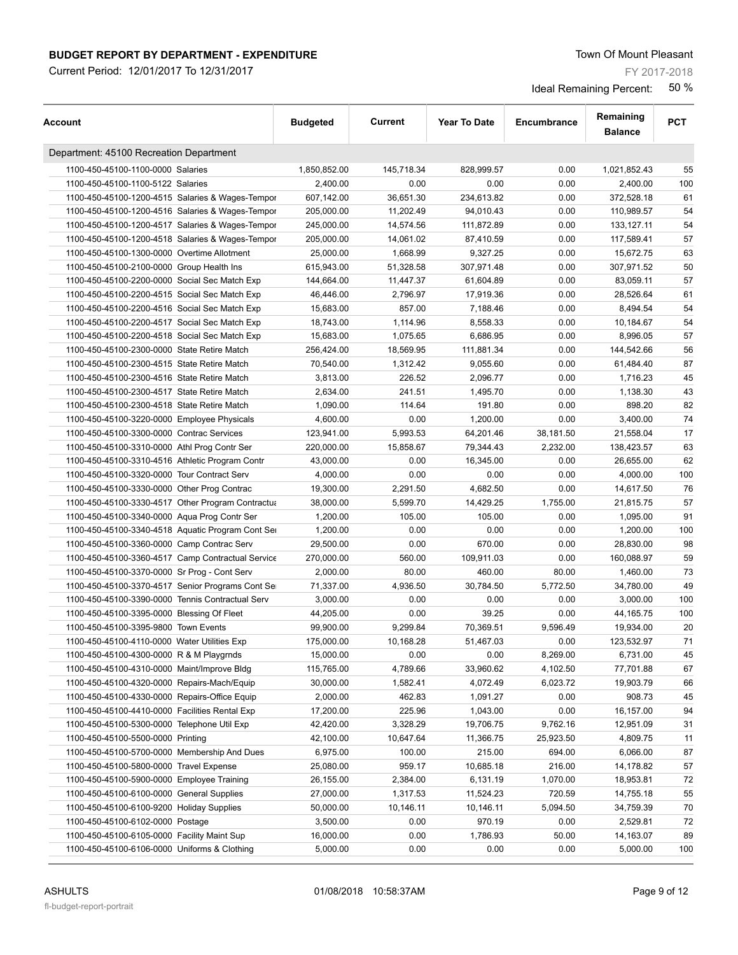Current Period: 12/01/2017 To 12/31/2017

FY 2017-2018

| Account                                            | <b>Budgeted</b> | <b>Current</b> | <b>Year To Date</b> | Encumbrance | Remaining<br><b>Balance</b> | <b>PCT</b> |
|----------------------------------------------------|-----------------|----------------|---------------------|-------------|-----------------------------|------------|
| Department: 45100 Recreation Department            |                 |                |                     |             |                             |            |
| 1100-450-45100-1100-0000 Salaries                  | 1,850,852.00    | 145,718.34     | 828,999.57          | 0.00        | 1,021,852.43                | 55         |
| 1100-450-45100-1100-5122 Salaries                  | 2,400.00        | 0.00           | 0.00                | 0.00        | 2,400.00                    | 100        |
| 1100-450-45100-1200-4515 Salaries & Wages-Tempor   | 607,142.00      | 36,651.30      | 234,613.82          | 0.00        | 372,528.18                  | 61         |
| 1100-450-45100-1200-4516 Salaries & Wages-Tempor   | 205,000.00      | 11,202.49      | 94,010.43           | 0.00        | 110,989.57                  | 54         |
| 1100-450-45100-1200-4517 Salaries & Wages-Tempor   | 245,000.00      | 14,574.56      | 111,872.89          | 0.00        | 133, 127. 11                | 54         |
| 1100-450-45100-1200-4518 Salaries & Wages-Tempor   | 205,000.00      | 14,061.02      | 87,410.59           | 0.00        | 117,589.41                  | 57         |
| 1100-450-45100-1300-0000 Overtime Allotment        | 25,000.00       | 1,668.99       | 9,327.25            | 0.00        | 15,672.75                   | 63         |
| 1100-450-45100-2100-0000 Group Health Ins          | 615,943.00      | 51,328.58      | 307,971.48          | 0.00        | 307,971.52                  | 50         |
| 1100-450-45100-2200-0000 Social Sec Match Exp      | 144,664.00      | 11,447.37      | 61,604.89           | 0.00        | 83,059.11                   | 57         |
| 1100-450-45100-2200-4515 Social Sec Match Exp      | 46,446.00       | 2,796.97       | 17,919.36           | 0.00        | 28,526.64                   | 61         |
| 1100-450-45100-2200-4516 Social Sec Match Exp      | 15,683.00       | 857.00         | 7,188.46            | 0.00        | 8,494.54                    | 54         |
| 1100-450-45100-2200-4517 Social Sec Match Exp      | 18,743.00       | 1,114.96       | 8,558.33            | 0.00        | 10,184.67                   | 54         |
| 1100-450-45100-2200-4518 Social Sec Match Exp      | 15,683.00       | 1,075.65       | 6,686.95            | 0.00        | 8,996.05                    | 57         |
| 1100-450-45100-2300-0000 State Retire Match        | 256,424.00      | 18,569.95      | 111,881.34          | 0.00        | 144,542.66                  | 56         |
| 1100-450-45100-2300-4515 State Retire Match        | 70,540.00       | 1,312.42       | 9,055.60            | 0.00        | 61,484.40                   | 87         |
| 1100-450-45100-2300-4516 State Retire Match        | 3,813.00        | 226.52         | 2,096.77            | 0.00        | 1,716.23                    | 45         |
| 1100-450-45100-2300-4517 State Retire Match        | 2,634.00        | 241.51         | 1,495.70            | 0.00        | 1,138.30                    | 43         |
| 1100-450-45100-2300-4518 State Retire Match        | 1,090.00        | 114.64         | 191.80              | 0.00        | 898.20                      | 82         |
| 1100-450-45100-3220-0000 Employee Physicals        | 4,600.00        | 0.00           | 1,200.00            | 0.00        | 3,400.00                    | 74         |
| 1100-450-45100-3300-0000 Contrac Services          | 123,941.00      | 5,993.53       | 64,201.46           | 38,181.50   | 21,558.04                   | 17         |
| 1100-450-45100-3310-0000 Athl Prog Contr Ser       | 220,000.00      | 15,858.67      | 79,344.43           | 2,232.00    | 138,423.57                  | 63         |
| 1100-450-45100-3310-4516 Athletic Program Contr    | 43,000.00       | 0.00           | 16,345.00           | 0.00        | 26,655.00                   | 62         |
|                                                    |                 | 0.00           |                     | 0.00        |                             | 100        |
| 1100-450-45100-3320-0000 Tour Contract Serv        | 4,000.00        |                | 0.00                |             | 4,000.00                    |            |
| 1100-450-45100-3330-0000 Other Prog Contrac        | 19,300.00       | 2,291.50       | 4,682.50            | 0.00        | 14,617.50                   | 76         |
| 1100-450-45100-3330-4517 Other Program Contractual | 38,000.00       | 5,599.70       | 14,429.25           | 1,755.00    | 21,815.75                   | 57         |
| 1100-450-45100-3340-0000 Aqua Prog Contr Ser       | 1,200.00        | 105.00         | 105.00              | 0.00        | 1,095.00                    | 91         |
| 1100-450-45100-3340-4518 Aquatic Program Cont Set  | 1,200.00        | 0.00           | 0.00                | 0.00        | 1,200.00                    | 100        |
| 1100-450-45100-3360-0000 Camp Contrac Serv         | 29,500.00       | 0.00           | 670.00              | 0.00        | 28,830.00                   | 98         |
| 1100-450-45100-3360-4517 Camp Contractual Service  | 270,000.00      | 560.00         | 109,911.03          | 0.00        | 160,088.97                  | 59         |
| 1100-450-45100-3370-0000 Sr Prog - Cont Serv       | 2,000.00        | 80.00          | 460.00              | 80.00       | 1,460.00                    | 73         |
| 1100-450-45100-3370-4517 Senior Programs Cont Se   | 71,337.00       | 4,936.50       | 30,784.50           | 5,772.50    | 34,780.00                   | 49         |
| 1100-450-45100-3390-0000 Tennis Contractual Serv   | 3,000.00        | 0.00           | 0.00                | 0.00        | 3,000.00                    | 100        |
| 1100-450-45100-3395-0000 Blessing Of Fleet         | 44,205.00       | 0.00           | 39.25               | 0.00        | 44, 165. 75                 | 100        |
| 1100-450-45100-3395-9800 Town Events               | 99.900.00       | 9,299.84       | 70,369.51           | 9,596.49    | 19,934.00                   | 20         |
| 1100-450-45100-4110-0000 Water Utilities Exp       | 175,000.00      | 10,168.28      | 51,467.03           | 0.00        | 123,532.97                  | 71         |
| 1100-450-45100-4300-0000 R & M Playgrnds           | 15,000.00       | 0.00           | 0.00                | 8,269.00    | 6,731.00                    | 45         |
| 1100-450-45100-4310-0000 Maint/Improve Bldg        | 115,765.00      | 4,789.66       | 33,960.62           | 4,102.50    | 77,701.88                   | 67         |
| 1100-450-45100-4320-0000 Repairs-Mach/Equip        | 30,000.00       | 1,582.41       | 4,072.49            | 6,023.72    | 19,903.79                   | 66         |
| 1100-450-45100-4330-0000 Repairs-Office Equip      | 2,000.00        | 462.83         | 1,091.27            | 0.00        | 908.73                      | 45         |
| 1100-450-45100-4410-0000 Facilities Rental Exp     | 17,200.00       | 225.96         | 1,043.00            | 0.00        | 16,157.00                   | 94         |
| 1100-450-45100-5300-0000 Telephone Util Exp        | 42,420.00       | 3,328.29       | 19,706.75           | 9,762.16    | 12,951.09                   | 31         |
| 1100-450-45100-5500-0000 Printing                  | 42,100.00       | 10,647.64      | 11,366.75           | 25,923.50   | 4,809.75                    | 11         |
| 1100-450-45100-5700-0000 Membership And Dues       | 6,975.00        | 100.00         | 215.00              | 694.00      | 6,066.00                    | 87         |
| 1100-450-45100-5800-0000 Travel Expense            | 25,080.00       | 959.17         | 10,685.18           | 216.00      | 14,178.82                   | 57         |
| 1100-450-45100-5900-0000 Employee Training         | 26,155.00       | 2,384.00       | 6,131.19            | 1,070.00    | 18,953.81                   | 72         |
| 1100-450-45100-6100-0000 General Supplies          | 27,000.00       | 1,317.53       | 11,524.23           | 720.59      | 14,755.18                   | 55         |
| 1100-450-45100-6100-9200 Holiday Supplies          | 50,000.00       | 10,146.11      | 10,146.11           | 5,094.50    | 34,759.39                   | 70         |
| 1100-450-45100-6102-0000 Postage                   | 3,500.00        | 0.00           | 970.19              | 0.00        | 2,529.81                    | 72         |
| 1100-450-45100-6105-0000 Facility Maint Sup        | 16,000.00       | 0.00           | 1,786.93            | 50.00       | 14,163.07                   | 89         |
| 1100-450-45100-6106-0000 Uniforms & Clothing       | 5,000.00        | 0.00           | 0.00                | 0.00        | 5,000.00                    | 100        |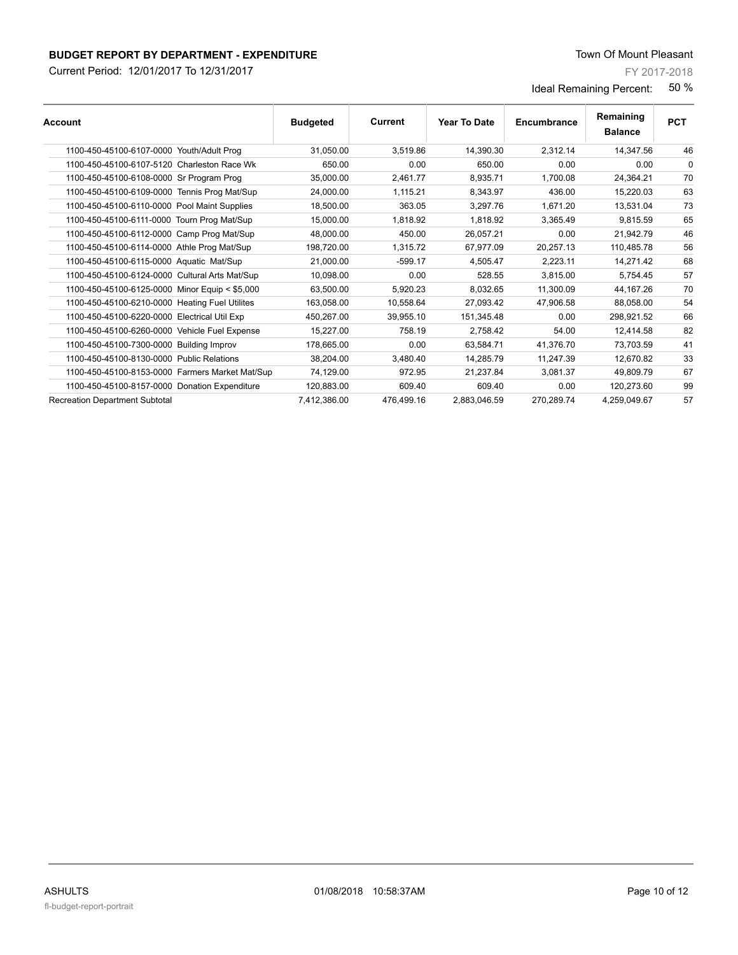Current Period: 12/01/2017 To 12/31/2017

FY 2017-2018

| <b>Account</b>                                  | <b>Budgeted</b> | Current    | Year To Date | Encumbrance | Remaining<br><b>Balance</b> | <b>PCT</b> |
|-------------------------------------------------|-----------------|------------|--------------|-------------|-----------------------------|------------|
| 1100-450-45100-6107-0000 Youth/Adult Prog       | 31.050.00       | 3.519.86   | 14.390.30    | 2,312.14    | 14.347.56                   | 46         |
| 1100-450-45100-6107-5120 Charleston Race Wk     | 650.00          | 0.00       | 650.00       | 0.00        | 0.00                        | $\Omega$   |
| 1100-450-45100-6108-0000 Sr Program Prog        | 35,000.00       | 2,461.77   | 8,935.71     | 1,700.08    | 24,364.21                   | 70         |
| 1100-450-45100-6109-0000 Tennis Prog Mat/Sup    | 24,000.00       | 1.115.21   | 8.343.97     | 436.00      | 15,220.03                   | 63         |
| 1100-450-45100-6110-0000 Pool Maint Supplies    | 18.500.00       | 363.05     | 3.297.76     | 1,671.20    | 13.531.04                   | 73         |
| 1100-450-45100-6111-0000 Tourn Prog Mat/Sup     | 15,000.00       | 1,818.92   | 1,818.92     | 3,365.49    | 9,815.59                    | 65         |
| 1100-450-45100-6112-0000 Camp Prog Mat/Sup      | 48,000.00       | 450.00     | 26.057.21    | 0.00        | 21,942.79                   | 46         |
| 1100-450-45100-6114-0000 Athle Prog Mat/Sup     | 198,720.00      | 1,315.72   | 67.977.09    | 20,257.13   | 110.485.78                  | 56         |
| 1100-450-45100-6115-0000 Aquatic Mat/Sup        | 21,000.00       | $-599.17$  | 4,505.47     | 2,223.11    | 14,271.42                   | 68         |
| 1100-450-45100-6124-0000 Cultural Arts Mat/Sup  | 10.098.00       | 0.00       | 528.55       | 3.815.00    | 5.754.45                    | 57         |
| 1100-450-45100-6125-0000 Minor Equip < \$5,000  | 63.500.00       | 5.920.23   | 8.032.65     | 11.300.09   | 44,167.26                   | 70         |
| 1100-450-45100-6210-0000 Heating Fuel Utilites  | 163,058.00      | 10,558.64  | 27,093.42    | 47,906.58   | 88,058.00                   | 54         |
| 1100-450-45100-6220-0000 Electrical Util Exp    | 450,267.00      | 39,955.10  | 151,345.48   | 0.00        | 298,921.52                  | 66         |
| 1100-450-45100-6260-0000 Vehicle Fuel Expense   | 15,227.00       | 758.19     | 2.758.42     | 54.00       | 12.414.58                   | 82         |
| 1100-450-45100-7300-0000 Building Improv        | 178,665.00      | 0.00       | 63.584.71    | 41,376.70   | 73,703.59                   | 41         |
| 1100-450-45100-8130-0000 Public Relations       | 38,204.00       | 3.480.40   | 14.285.79    | 11.247.39   | 12,670.82                   | 33         |
| 1100-450-45100-8153-0000 Farmers Market Mat/Sup | 74,129.00       | 972.95     | 21.237.84    | 3.081.37    | 49.809.79                   | 67         |
| 1100-450-45100-8157-0000 Donation Expenditure   | 120,883.00      | 609.40     | 609.40       | 0.00        | 120.273.60                  | 99         |
| <b>Recreation Department Subtotal</b>           | 7,412,386.00    | 476,499.16 | 2,883,046.59 | 270,289.74  | 4,259,049.67                | 57         |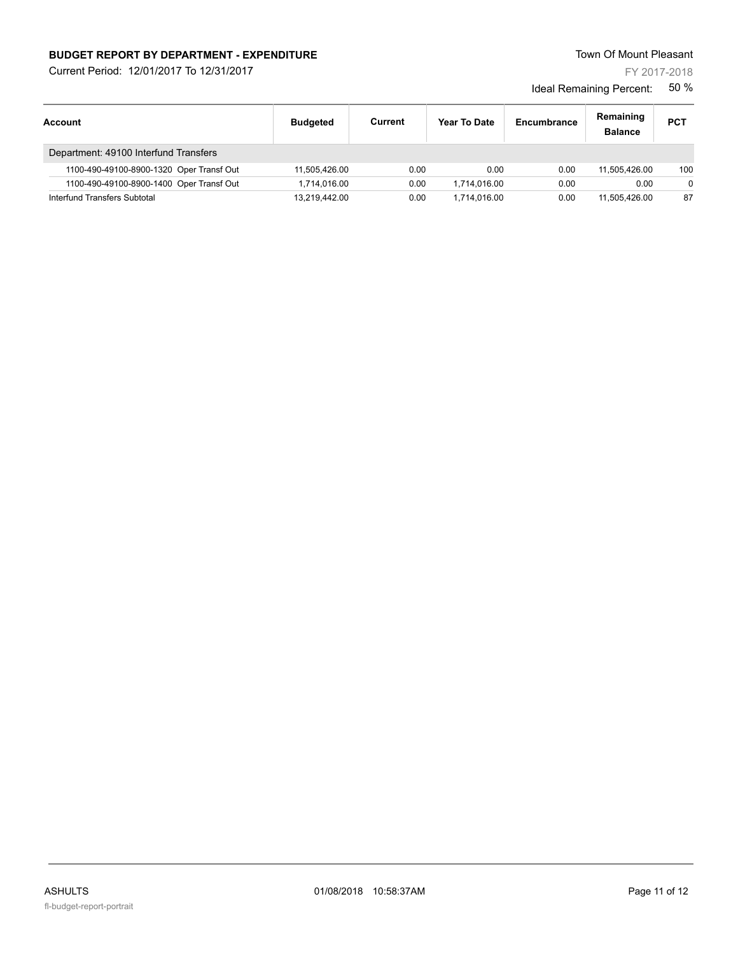Current Period: 12/01/2017 To 12/31/2017

FY 2017-2018

| <b>Account</b>                           | <b>Budgeted</b> | Current | Year To Date | Encumbrance | Remaining<br><b>Balance</b> | <b>PCT</b> |
|------------------------------------------|-----------------|---------|--------------|-------------|-----------------------------|------------|
| Department: 49100 Interfund Transfers    |                 |         |              |             |                             |            |
| 1100-490-49100-8900-1320 Oper Transf Out | 11.505.426.00   | 0.00    | 0.00         | 0.00        | 11.505.426.00               | 100        |
| 1100-490-49100-8900-1400 Oper Transf Out | 1.714.016.00    | 0.00    | 1.714.016.00 | 0.00        | 0.00                        | $\Omega$   |
| Interfund Transfers Subtotal             | 13.219.442.00   | 0.00    | 1.714.016.00 | 0.00        | 11.505.426.00               | 87         |